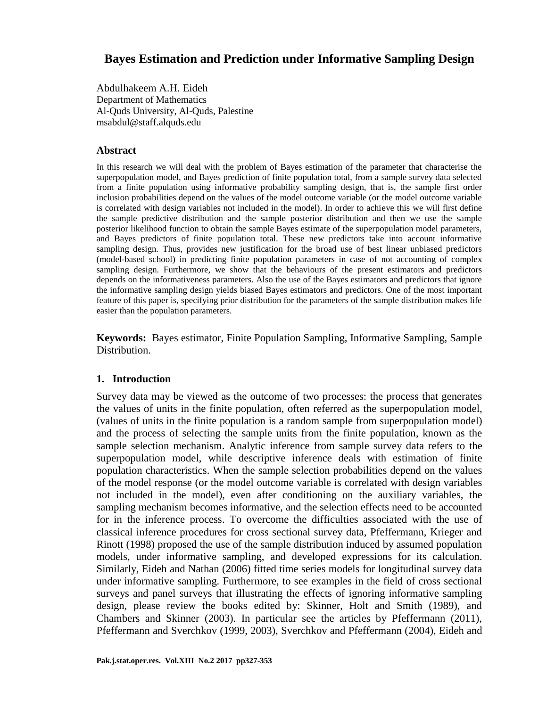# **Bayes Estimation and Prediction under Informative Sampling Design**

Abdulhakeem A.H. Eideh Department of Mathematics Al-Quds University, Al-Quds, Palestine msabdul@staff.alquds.edu

### **Abstract**

In this research we will deal with the problem of Bayes estimation of the parameter that characterise the superpopulation model, and Bayes prediction of finite population total, from a sample survey data selected from a finite population using informative probability sampling design, that is, the sample first order inclusion probabilities depend on the values of the model outcome variable (or the model outcome variable is correlated with design variables not included in the model). In order to achieve this we will first define the sample predictive distribution and the sample posterior distribution and then we use the sample posterior likelihood function to obtain the sample Bayes estimate of the superpopulation model parameters, and Bayes predictors of finite population total. These new predictors take into account informative sampling design. Thus, provides new justification for the broad use of best linear unbiased predictors (model-based school) in predicting finite population parameters in case of not accounting of complex sampling design. Furthermore, we show that the behaviours of the present estimators and predictors depends on the informativeness parameters. Also the use of the Bayes estimators and predictors that ignore the informative sampling design yields biased Bayes estimators and predictors. One of the most important feature of this paper is, specifying prior distribution for the parameters of the sample distribution makes life easier than the population parameters.

**Keywords:** Bayes estimator, Finite Population Sampling, Informative Sampling, Sample Distribution.

### **1. Introduction**

Survey data may be viewed as the outcome of two processes: the process that generates the values of units in the finite population, often referred as the superpopulation model, (values of units in the finite population is a random sample from superpopulation model) and the process of selecting the sample units from the finite population, known as the sample selection mechanism. Analytic inference from sample survey data refers to the superpopulation model, while descriptive inference deals with estimation of finite population characteristics. When the sample selection probabilities depend on the values of the model response (or the model outcome variable is correlated with design variables not included in the model), even after conditioning on the auxiliary variables, the sampling mechanism becomes informative, and the selection effects need to be accounted for in the inference process. To overcome the difficulties associated with the use of classical inference procedures for cross sectional survey data, Pfeffermann, Krieger and Rinott (1998) proposed the use of the sample distribution induced by assumed population models, under informative sampling, and developed expressions for its calculation. Similarly, Eideh and Nathan (2006) fitted time series models for longitudinal survey data under informative sampling. Furthermore, to see examples in the field of cross sectional surveys and panel surveys that illustrating the effects of ignoring informative sampling design, please review the books edited by: Skinner, Holt and Smith (1989), and Chambers and Skinner (2003). In particular see the articles by Pfeffermann (2011), Pfeffermann and Sverchkov (1999, 2003), Sverchkov and Pfeffermann (2004), Eideh and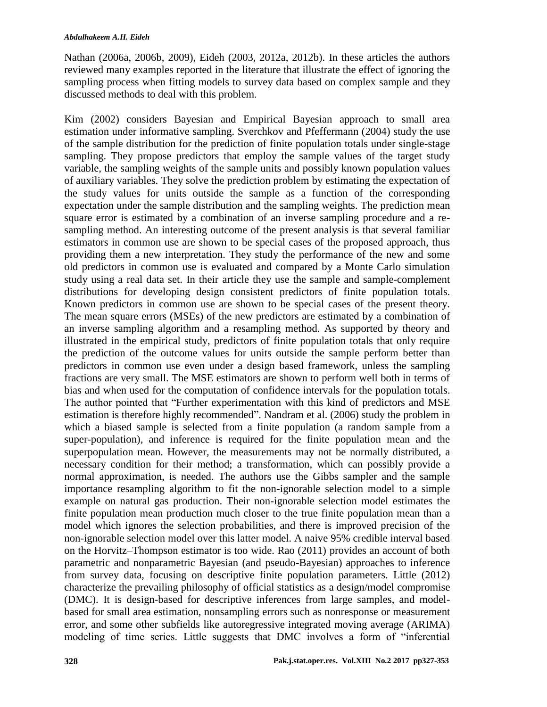Nathan (2006a, 2006b, 2009), Eideh (2003, 2012a, 2012b). In these articles the authors reviewed many examples reported in the literature that illustrate the effect of ignoring the sampling process when fitting models to survey data based on complex sample and they discussed methods to deal with this problem.

Kim (2002) considers Bayesian and Empirical Bayesian approach to small area estimation under informative sampling. Sverchkov and Pfeffermann (2004) study the use of the sample distribution for the prediction of finite population totals under single-stage sampling. They propose predictors that employ the sample values of the target study variable, the sampling weights of the sample units and possibly known population values of auxiliary variables. They solve the prediction problem by estimating the expectation of the study values for units outside the sample as a function of the corresponding expectation under the sample distribution and the sampling weights. The prediction mean square error is estimated by a combination of an inverse sampling procedure and a resampling method. An interesting outcome of the present analysis is that several familiar estimators in common use are shown to be special cases of the proposed approach, thus providing them a new interpretation. They study the performance of the new and some old predictors in common use is evaluated and compared by a Monte Carlo simulation study using a real data set. In their article they use the sample and sample-complement distributions for developing design consistent predictors of finite population totals. Known predictors in common use are shown to be special cases of the present theory. The mean square errors (MSEs) of the new predictors are estimated by a combination of an inverse sampling algorithm and a resampling method. As supported by theory and illustrated in the empirical study, predictors of finite population totals that only require the prediction of the outcome values for units outside the sample perform better than predictors in common use even under a design based framework, unless the sampling fractions are very small. The MSE estimators are shown to perform well both in terms of bias and when used for the computation of confidence intervals for the population totals. The author pointed that "Further experimentation with this kind of predictors and MSE estimation is therefore highly recommended". Nandram et al. (2006) study the problem in which a biased sample is selected from a finite population (a random sample from a super-population), and inference is required for the finite population mean and the superpopulation mean. However, the measurements may not be normally distributed, a necessary condition for their method; a transformation, which can possibly provide a normal approximation, is needed. The authors use the Gibbs sampler and the sample importance resampling algorithm to fit the non-ignorable selection model to a simple example on natural gas production. Their non-ignorable selection model estimates the finite population mean production much closer to the true finite population mean than a model which ignores the selection probabilities, and there is improved precision of the non-ignorable selection model over this latter model. A naive 95% credible interval based on the Horvitz–Thompson estimator is too wide. Rao (2011) provides an account of both parametric and nonparametric Bayesian (and pseudo-Bayesian) approaches to inference from survey data, focusing on descriptive finite population parameters. Little (2012) characterize the prevailing philosophy of official statistics as a design/model compromise (DMC). It is design-based for descriptive inferences from large samples, and modelbased for small area estimation, nonsampling errors such as nonresponse or measurement error, and some other subfields like autoregressive integrated moving average (ARIMA) modeling of time series. Little suggests that DMC involves a form of "inferential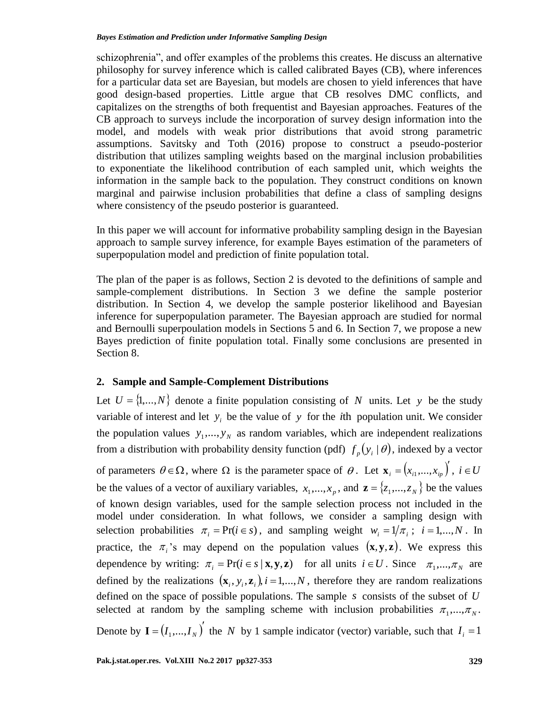schizophrenia", and offer examples of the problems this creates. He discuss an alternative philosophy for survey inference which is called calibrated Bayes (CB), where inferences for a particular data set are Bayesian, but models are chosen to yield inferences that have good design-based properties. Little argue that CB resolves DMC conflicts, and capitalizes on the strengths of both frequentist and Bayesian approaches. Features of the CB approach to surveys include the incorporation of survey design information into the model, and models with weak prior distributions that avoid strong parametric assumptions. Savitsky and Toth (2016) propose to construct a pseudo-posterior distribution that utilizes sampling weights based on the marginal inclusion probabilities to exponentiate the likelihood contribution of each sampled unit, which weights the information in the sample back to the population. They construct conditions on known marginal and pairwise inclusion probabilities that define a class of sampling designs where consistency of the pseudo posterior is guaranteed.

In this paper we will account for informative probability sampling design in the Bayesian approach to sample survey inference, for example Bayes estimation of the parameters of superpopulation model and prediction of finite population total.

The plan of the paper is as follows, Section 2 is devoted to the definitions of sample and sample-complement distributions. In Section 3 we define the sample posterior distribution. In Section 4, we develop the sample posterior likelihood and Bayesian inference for superpopulation parameter. The Bayesian approach are studied for normal and Bernoulli superpoulation models in Sections 5 and 6. In Section 7, we propose a new Bayes prediction of finite population total. Finally some conclusions are presented in Section 8.

# **2. Sample and Sample-Complement Distributions**

Let  $U = \{1,...,N\}$  denote a finite population consisting of N units. Let y be the study variable of interest and let  $y_i$  be the value of y for the *i*th population unit. We consider the population values  $y_1, \ldots, y_N$  as random variables, which are independent realizations from a distribution with probability density function (pdf)  $f_p(y_i|\theta)$ , indexed by a vector of parameters  $\theta \in \Omega$ , where  $\Omega$  is the parameter space of  $\theta$ . Let  $\mathbf{x}_i = (x_{i1},...,x_{i_p})'$  $\mathbf{x}_{i} = (x_{i1},...,x_{ip})$ ,  $i \in U$ be the values of a vector of auxiliary variables,  $x_1, ..., x_p$ , and  $\mathbf{z} = \{z_1, ..., z_N\}$  be the values of known design variables, used for the sample selection process not included in the model under consideration. In what follows, we consider a sampling design with selection probabilities  $\pi_i = \Pr(i \in s)$ , and sampling weight  $w_i = 1/\pi_i$ ;  $i = 1,...,N$ . In practice, the  $\pi_i$ 's may depend on the population values  $(x, y, z)$ . We express this dependence by writing:  $\pi_i = \Pr(i \in s | \mathbf{x}, \mathbf{y}, \mathbf{z})$  for all units  $i \in U$ . Since  $\pi_1, ..., \pi_N$  are defined by the realizations  $(\mathbf{x}_i, y_i, \mathbf{z}_i)$ ,  $i = 1,...,N$ , therefore they are random realizations defined on the space of possible populations. The sample *s* consists of the subset of *U* selected at random by the sampling scheme with inclusion probabilities  $\pi_1, \dots, \pi_N$ . Denote by  $I = (I_1, ..., I_N)$  the *N* by 1 sample indicator (vector) variable, such that  $I_i = 1$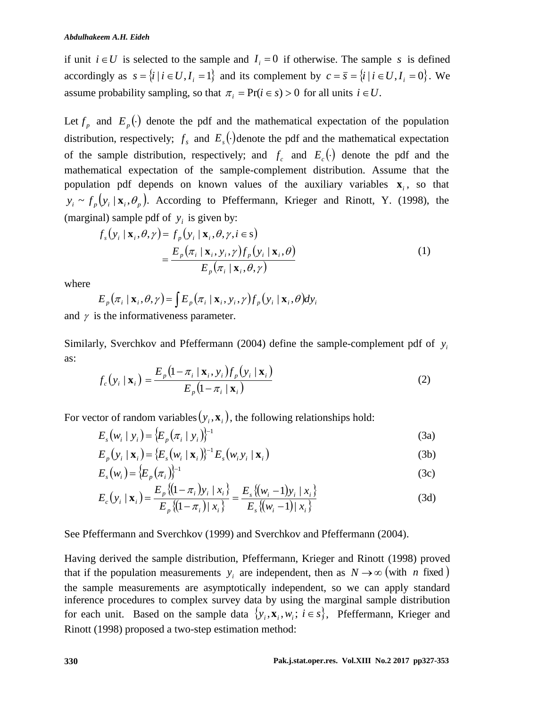if unit  $i \in U$  is selected to the sample and  $I_i = 0$  if otherwise. The sample s is defined accordingly as  $s = \{i \mid i \in U, I_i = 1\}$  and its complement by  $c = \overline{s} = \{i \mid i \in U, I_i = 0\}$ . We assume probability sampling, so that  $\pi_i = \Pr(i \in s) > 0$  for all units  $i \in U$ .

Let  $f_p$  and  $E_p(\cdot)$  denote the pdf and the mathematical expectation of the population distribution, respectively;  $f_s$  and  $E_s(\cdot)$  denote the pdf and the mathematical expectation of the sample distribution, respectively; and  $f_c$  and  $E_c(\cdot)$  denote the pdf and the mathematical expectation of the sample-complement distribution. Assume that the population pdf depends on known values of the auxiliary variables  $\mathbf{x}_i$ , so that  $y_i \sim f_p(y_i \mid \mathbf{x}_i, \theta_p)$ . According to Pfeffermann, Krieger and Rinott, Y. (1998), the (marginal) sample pdf of  $y_i$  is given by:

$$
f_s(y_i | \mathbf{x}_i, \theta, \gamma) = f_p(y_i | \mathbf{x}_i, \theta, \gamma, i \in \mathbf{s})
$$
  
= 
$$
\frac{E_p(\pi_i | \mathbf{x}_i, y_i, \gamma) f_p(y_i | \mathbf{x}_i, \theta)}{E_p(\pi_i | \mathbf{x}_i, \theta, \gamma)}
$$
(1)

where

$$
E_p(\pi_i \mid \mathbf{x}_i, \theta, \gamma) = \int E_p(\pi_i \mid \mathbf{x}_i, y_i, \gamma) f_p(y_i \mid \mathbf{x}_i, \theta) dy_i
$$

and  $\gamma$  is the informativeness parameter.

Similarly, Sverchkov and Pfeffermann (2004) define the sample-complement pdf of  $y_i$ as:

$$
f_c(y_i \mid \mathbf{x}_i) = \frac{E_p(1 - \pi_i \mid \mathbf{x}_i, y_i) f_p(y_i \mid \mathbf{x}_i)}{E_p(1 - \pi_i \mid \mathbf{x}_i)}
$$
(2)

For vector of random variables  $(y_i, \mathbf{x}_i)$ , the following relationships hold:

$$
E_s(w_i \mid y_i) = \{E_p(\pi_i \mid y_i)\}^{-1}
$$
 (3a)

$$
E_p(y_i \mid \mathbf{x}_i) = \{E_s(w_i \mid \mathbf{x}_i)\}^{-1} E_s(w_i y_i \mid \mathbf{x}_i)
$$
\n(3b)

$$
E_s(w_i) = \{E_p(\pi_i)\}^{-1}
$$
 (3c)

$$
E_c(y_i \mid \mathbf{x}_i) = \frac{E_p \{(1 - \pi_i) y_i \mid x_i\}}{E_p \{(1 - \pi_i) \mid x_i\}} = \frac{E_s \{(w_i - 1) y_i \mid x_i\}}{E_s \{(w_i - 1) \mid x_i\}}
$$
(3d)

See Pfeffermann and Sverchkov (1999) and Sverchkov and Pfeffermann (2004).

Having derived the sample distribution, Pfeffermann, Krieger and Rinott (1998) proved that if the population measurements  $y_i$  are independent, then as  $N \rightarrow \infty$  (with *n* fixed) the sample measurements are asymptotically independent, so we can apply standard inference procedures to complex survey data by using the marginal sample distribution for each unit. Based on the sample data  $\{y_i, \mathbf{x}_i, w_i; i \in s\}$ , Pfeffermann, Krieger and Rinott (1998) proposed a two-step estimation method: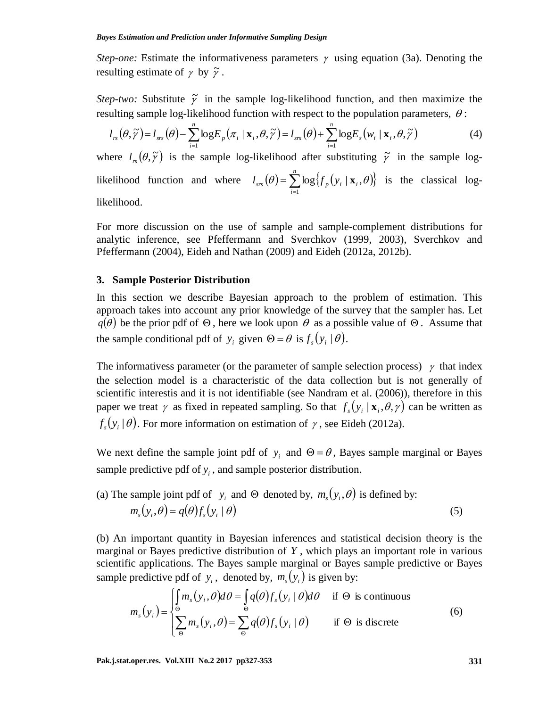*Step-one:* Estimate the informativeness parameters  $\gamma$  using equation (3a). Denoting the resulting estimate of  $\gamma$  by  $\tilde{\gamma}$ .

*Step-two:* Substitute  $\tilde{\gamma}$  in the sample log-likelihood function, and then maximize the resulting sample log-likelihood function with respect to the population parameters,  $\theta$ :

$$
l_{rs}(\theta,\widetilde{\gamma})=l_{ss}(\theta)-\sum_{i=1}^n \log E_p(\pi_i \mid \mathbf{x}_i,\theta,\widetilde{\gamma})=l_{ss}(\theta)+\sum_{i=1}^n \log E_s(\mathbf{w}_i \mid \mathbf{x}_i,\theta,\widetilde{\gamma})
$$
(4)

where  $l_{rs}(\theta, \tilde{\gamma})$  is the sample log-likelihood after substituting  $\tilde{\gamma}$  in the sample loglikelihood function and where  $l_{ss}(\theta) = \sum_{i=1}^{n} \log \{f_p(y_i \mid \mathbf{x}_i, \theta)\}$  $=$  $\sum_{n=1}^{n}$ *i*  $l_{\mathit{srs}}\left(\theta\right)$  =  $\sum\log\left\{ f_{_{p}}\left(\boldsymbol{\mathrm{y}}_{_{i}}\mid\mathbf{x}_{_{i}}\right)\right\}$ 1  $\theta = \sum \log \{f_n(y_i \mid \mathbf{x}_i, \theta)\}\$ is the classical log-

likelihood.

For more discussion on the use of sample and sample-complement distributions for analytic inference, see Pfeffermann and Sverchkov (1999, 2003), Sverchkov and Pfeffermann (2004), Eideh and Nathan (2009) and Eideh (2012a, 2012b).

#### **3. Sample Posterior Distribution**

In this section we describe Bayesian approach to the problem of estimation. This approach takes into account any prior knowledge of the survey that the sampler has. Let  $q(\theta)$  be the prior pdf of  $\Theta$ , here we look upon  $\theta$  as a possible value of  $\Theta$ . Assume that the sample conditional pdf of  $y_i$  given  $\Theta = \theta$  is  $f_s(y_i | \theta)$ .

The informativess parameter (or the parameter of sample selection process)  $\gamma$  that index the selection model is a characteristic of the data collection but is not generally of scientific interestis and it is not identifiable (see Nandram et al. (2006)), therefore in this paper we treat  $\gamma$  as fixed in repeated sampling. So that  $f_s(y_i | \mathbf{x}_i, \theta, \gamma)$  can be written as  $f_s(y_i | \theta)$ . For more information on estimation of  $\gamma$ , see Eideh (2012a).

We next define the sample joint pdf of  $y_i$  and  $\Theta = \theta$ , Bayes sample marginal or Bayes sample predictive pdf of  $y_i$ , and sample posterior distribution.

(a) The sample joint pdf of 
$$
y_i
$$
 and  $\Theta$  denoted by,  $m_s(y_i, \theta)$  is defined by:  
\n
$$
m_s(y_i, \theta) = q(\theta) f_s(y_i | \theta)
$$
\n(5)

(b) An important quantity in Bayesian inferences and statistical decision theory is the marginal or Bayes predictive distribution of *Y* , which plays an important role in various scientific applications. The Bayes sample marginal or Bayes sample predictive or Bayes sample predictive pdf of  $y_i$ , denoted by,  $m_s(y_i)$  is given by:

$$
m_s(y_i) = \begin{cases} \int_{\Theta} m_s(y_i, \theta) d\theta = \int_{\Theta} q(\theta) f_s(y_i | \theta) d\theta & \text{if } \Theta \text{ is continuous} \\ \sum_{\Theta} m_s(y_i, \theta) = \sum_{\Theta} q(\theta) f_s(y_i | \theta) & \text{if } \Theta \text{ is discrete} \end{cases}
$$
(6)

**Pak.j.stat.oper.res. Vol.XIII No.2 2017 pp327-353 331**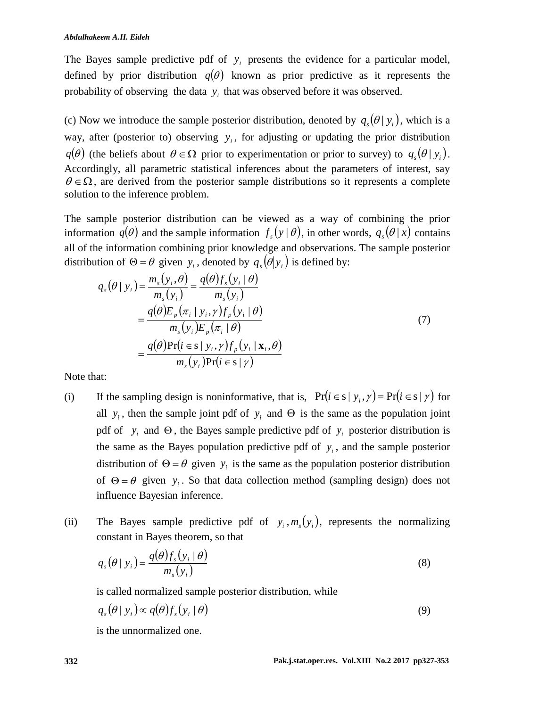The Bayes sample predictive pdf of  $y_i$  presents the evidence for a particular model, defined by prior distribution  $q(\theta)$  known as prior predictive as it represents the probability of observing the data  $y_i$  that was observed before it was observed.

(c) Now we introduce the sample posterior distribution, denoted by  $q_s(\theta | y_i)$ , which is a way, after (posterior to) observing  $y_i$ , for adjusting or updating the prior distribution  $q(\theta)$  (the beliefs about  $\theta \in \Omega$  prior to experimentation or prior to survey) to  $q_s(\theta | y_i)$ . Accordingly, all parametric statistical inferences about the parameters of interest, say  $\theta \in \Omega$ , are derived from the posterior sample distributions so it represents a complete solution to the inference problem.

The sample posterior distribution can be viewed as a way of combining the prior information  $q(\theta)$  and the sample information  $f_s(y | \theta)$ , in other words,  $q_s(\theta | x)$  contains all of the information combining prior knowledge and observations. The sample posterior distribution of  $\Theta = \theta$  given  $y_i$ , denoted by  $q_s(\theta | y_i)$  is defined by:

$$
q_s(\theta \mid y_i) = \frac{m_s(y_i, \theta)}{m_s(y_i)} = \frac{q(\theta)f_s(y_i \mid \theta)}{m_s(y_i)}
$$
  
= 
$$
\frac{q(\theta)E_p(\pi_i \mid y_i, \gamma)f_p(y_i \mid \theta)}{m_s(y_i)E_p(\pi_i \mid \theta)}
$$
  
= 
$$
\frac{q(\theta)Pr(i \in s \mid y_i, \gamma)f_p(y_i \mid \mathbf{x}_i, \theta)}{m_s(y_i)Pr(i \in s \mid \gamma)}
$$
 (7)

Note that:

- (i) If the sampling design is noninformative, that is,  $Pr(i \in s | y_i, \gamma) = Pr(i \in s | \gamma)$  for all  $y_i$ , then the sample joint pdf of  $y_i$  and  $\Theta$  is the same as the population joint pdf of  $y_i$  and  $\Theta$ , the Bayes sample predictive pdf of  $y_i$  posterior distribution is the same as the Bayes population predictive pdf of  $y_i$ , and the sample posterior distribution of  $\Theta = \theta$  given  $y_i$  is the same as the population posterior distribution of  $\Theta = \theta$  given  $y_i$ . So that data collection method (sampling design) does not influence Bayesian inference.
- (ii) The Bayes sample predictive pdf of  $y_i$ ,  $m_s(y_i)$ , represents the normalizing constant in Bayes theorem, so that

$$
q_s(\theta \mid y_i) = \frac{q(\theta) f_s(y_i \mid \theta)}{m_s(y_i)}
$$
(8)

is called normalized sample posterior distribution, while

$$
q_s(\theta \mid y_i) \propto q(\theta) f_s(y_i \mid \theta) \tag{9}
$$

is the unnormalized one.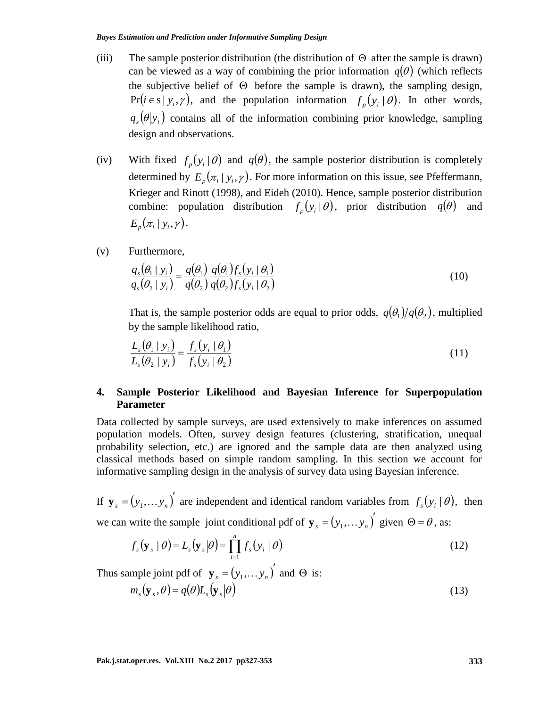- (iii) The sample posterior distribution (the distribution of  $\Theta$  after the sample is drawn) can be viewed as a way of combining the prior information  $q(\theta)$  (which reflects the subjective belief of  $\Theta$  before the sample is drawn), the sampling design,  $Pr(i \in s | y_i, \gamma)$ , and the population information  $f_p(y_i | \theta)$ . In other words,  $q_s(\theta|y_i)$  contains all of the information combining prior knowledge, sampling design and observations.
- (iv) With fixed  $f_p(y_i|\theta)$  and  $q(\theta)$ , the sample posterior distribution is completely determined by  $E_p(\pi_i | y_i, \gamma)$ . For more information on this issue, see Pfeffermann, Krieger and Rinott (1998), and Eideh (2010). Hence, sample posterior distribution combine: population distribution  $f_p(y_i|\theta)$ , prior distribution  $q(\theta)$  and  $E_n(\pi_i | y_i, \gamma).$
- (v) Furthermore,

$$
\frac{q_s(\theta_1 \mid y_i)}{q_s(\theta_2 \mid y_i)} = \frac{q(\theta_1)}{q(\theta_2)} \frac{q(\theta_1) f_s(y_i \mid \theta_1)}{q(\theta_2) f_s(y_i \mid \theta_2)}\tag{10}
$$

That is, the sample posterior odds are equal to prior odds,  $q(\theta_1)/q(\theta_2)$ , multiplied by the sample likelihood ratio,

$$
\frac{L_s(\theta_1 \mid y_i)}{L_s(\theta_2 \mid y_i)} = \frac{f_s(y_i \mid \theta_1)}{f_s(y_i \mid \theta_2)}\tag{11}
$$

# **4. Sample Posterior Likelihood and Bayesian Inference for Superpopulation Parameter**

Data collected by sample surveys, are used extensively to make inferences on assumed population models. Often, survey design features (clustering, stratification, unequal probability selection, etc.) are ignored and the sample data are then analyzed using classical methods based on simple random sampling. In this section we account for informative sampling design in the analysis of survey data using Bayesian inference.

If  ${\bf y}_s = (y_1, ..., y_n)^T$  $\mathbf{y}_s = (y_1, \dots, y_n)$  are independent and identical random variables from  $f_s(y_i | \theta)$ , then we can write the sample joint conditional pdf of  $\mathbf{y}_s = (y_1, \dots y_n)^T$  $\mathbf{y}_s = (y_1, \dots y_n)$  given  $\Theta = \theta$ , as:

$$
f_s(\mathbf{y}_s \mid \boldsymbol{\theta}) = L_s(\mathbf{y}_s \mid \boldsymbol{\theta}) = \prod_{i=1}^n f_s(y_i \mid \boldsymbol{\theta})
$$
\n(12)

Thus sample joint pdf of  $\mathbf{y}_s = (y_1, \dots y_n)^T$  $\mathbf{y}_s = (y_1, \dots y_n)$  and  $\Theta$  is:

$$
m_s(\mathbf{y}_s, \theta) = q(\theta)L_s(\mathbf{y}_s|\theta)
$$
\n(13)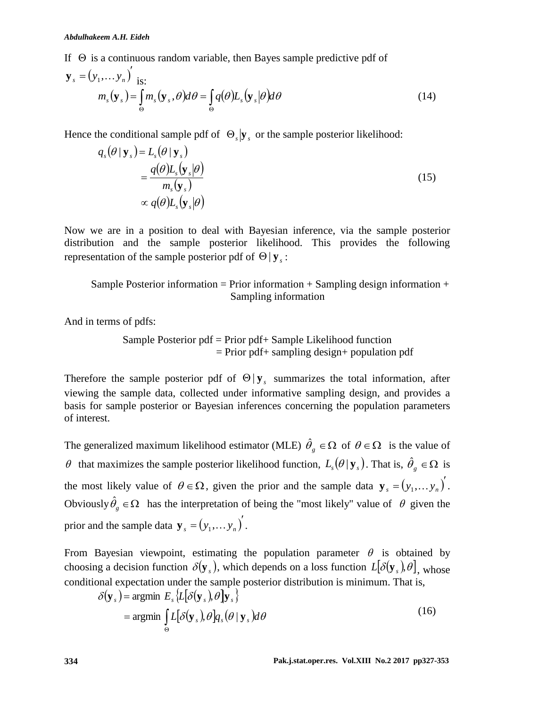If  $\Theta$  is a continuous random variable, then Bayes sample predictive pdf of

$$
\mathbf{y}_{s} = (y_{1}, \dots y_{n})'_{\text{is:}} \nm_{s}(\mathbf{y}_{s}) = \int_{\Theta} m_{s}(\mathbf{y}_{s}, \theta) d\theta = \int_{\Theta} q(\theta) L_{s}(\mathbf{y}_{s} | \theta) d\theta
$$
\n(14)

Hence the conditional sample pdf of  $\Theta_s | \mathbf{y}_s$  or the sample posterior likelihood:

$$
q_s(\theta | \mathbf{y}_s) = L_s(\theta | \mathbf{y}_s)
$$
  
= 
$$
\frac{q(\theta)L_s(\mathbf{y}_s|\theta)}{m_s(\mathbf{y}_s)}
$$
  

$$
\propto q(\theta)L_s(\mathbf{y}_s|\theta)
$$
 (15)

Now we are in a position to deal with Bayesian inference, via the sample posterior distribution and the sample posterior likelihood. This provides the following representation of the sample posterior pdf of  $\Theta | y_s$ :

Sample Posterior information = Prior information + Sampling design information + Sampling information

And in terms of pdfs:

Sample Posterior pdf = Prior pdf+ Sample Likelihood function  $=$  Prior pdf + sampling design + population pdf

Therefore the sample posterior pdf of  $\Theta | y_s$  summarizes the total information, after viewing the sample data, collected under informative sampling design, and provides a basis for sample posterior or Bayesian inferences concerning the population parameters of interest.

The generalized maximum likelihood estimator (MLE)  $\hat{\theta}_g \in \Omega$  of  $\theta \in \Omega$  is the value of  $\theta$  that maximizes the sample posterior likelihood function,  $L_s(\theta | \mathbf{y}_s)$ . That is,  $\hat{\theta}_g \in \Omega$  is the most likely value of  $\theta \in \Omega$ , given the prior and the sample data  $\mathbf{y}_{s} = (y_1, \dots y_n)^{\prime}$  $\mathbf{y}_s = (y_1, \dots y_n).$ Obviously  $\hat{\theta}_g \in \Omega$  has the interpretation of being the "most likely" value of  $\theta$  given the prior and the sample data  $\mathbf{y}_s = (y_1, \dots y_n)^T$  $\mathbf{y}_s = (y_1, \dots y_n).$ 

From Bayesian viewpoint, estimating the population parameter  $\theta$  is obtained by choosing a decision function  $\delta(\mathbf{y}_s)$ , which depends on a loss function  $L[\delta(\mathbf{y}_s), \theta]$ , whose conditional expectation under the sample posterior distribution is minimum. That is,

$$
\delta(\mathbf{y}_s) = \underset{\Theta}{\text{argmin}} E_s \{L[\delta(\mathbf{y}_s), \theta] \mathbf{y}_s\}
$$
  
= argmin  $\int_{\Theta} L[\delta(\mathbf{y}_s), \theta] q_s(\theta | \mathbf{y}_s) d\theta$  (16)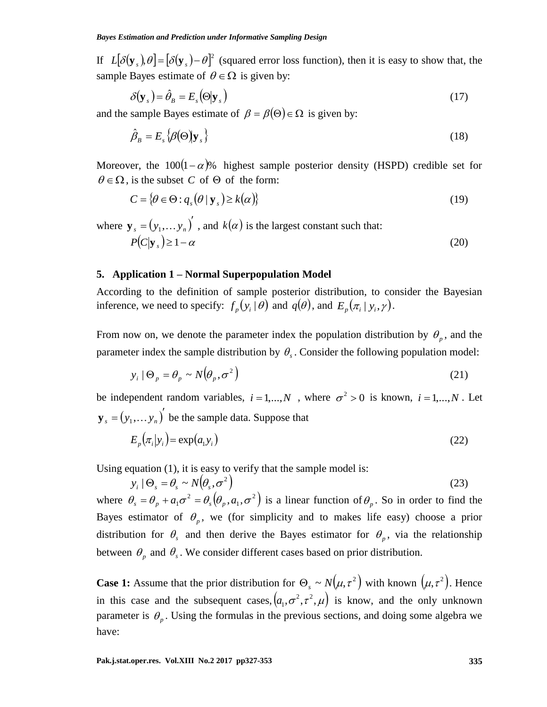If  $L[\delta(\mathbf{y}_s), \theta] = [\delta(\mathbf{y}_s) - \theta]^2$  (squared error loss function), then it is easy to show that, the sample Bayes estimate of  $\theta \in \Omega$  is given by:

$$
\delta(\mathbf{y}_s) = \hat{\theta}_B = E_s(\Theta | \mathbf{y}_s)
$$
\n(17)

and the sample Bayes estimate of  $\beta = \beta(\Theta) \in \Omega$  is given by:

$$
\hat{\beta}_B = E_s \{\beta(\Theta) | \mathbf{y}_s\} \tag{18}
$$

Moreover, the  $100(1-\alpha)$ % highest sample posterior density (HSPD) credible set for  $\theta \in \Omega$ , is the subset C of  $\Theta$  of the form:

$$
C = \{ \theta \in \Theta : q_s(\theta \mid \mathbf{y}_s) \ge k(\alpha) \}
$$
 (19)

where  $\mathbf{y}_s = (y_1, \dots y_n)^T$  $\mathbf{y}_s = (y_1, \dots, y_n)$ , and  $k(\alpha)$  is the largest constant such that:  $P(C|\mathbf{v}_s) \geq 1-\alpha$ (20)

#### **5. Application 1 – Normal Superpopulation Model**

According to the definition of sample posterior distribution, to consider the Bayesian inference, we need to specify:  $f_p(y_i|\theta)$  and  $q(\theta)$ , and  $E_p(\pi_i|y_i, \gamma)$ .

From now on, we denote the parameter index the population distribution by  $\theta_p$ , and the parameter index the sample distribution by  $\theta_s$ . Consider the following population model:

$$
y_i \mid \Theta_p = \theta_p \sim N(\theta_p, \sigma^2)
$$
 (21)

be independent random variables,  $i = 1,...,N$ , where  $\sigma^2 > 0$  is known,  $i = 1,...,N$ . Let  $(y_1,... y_n)^{\prime}$  $\mathbf{y}_s = (y_1, \dots, y_n)$  be the sample data. Suppose that

$$
E_p(\pi_i|y_i) = \exp(a_1y_i) \tag{22}
$$

Using equation (1), it is easy to verify that the sample model is:

$$
y_i \mid \Theta_s = \theta_s \sim N(\theta_s, \sigma^2) \tag{23}
$$

where  $\theta_s = \theta_n + a_1 \sigma^2 = \theta_s (\theta_n, a_1, \sigma^2)$ 1  $\theta_s = \theta_p + a_1 \sigma^2 = \theta_s (\theta_p, a_1, \sigma^2)$  is a linear function of  $\theta_p$ . So in order to find the Bayes estimator of  $\theta_p$ , we (for simplicity and to makes life easy) choose a prior distribution for  $\theta_s$  and then derive the Bayes estimator for  $\theta_p$ , via the relationship between  $\theta_p$  and  $\theta_s$ . We consider different cases based on prior distribution.

**Case 1:** Assume that the prior distribution for  $\Theta_s \sim N(\mu, \tau^2)$  with known  $(\mu, \tau^2)$ . Hence in this case and the subsequent cases,  $(a_1, \sigma^2, \tau^2, \mu)$  is know, and the only unknown parameter is  $\theta_p$ . Using the formulas in the previous sections, and doing some algebra we have: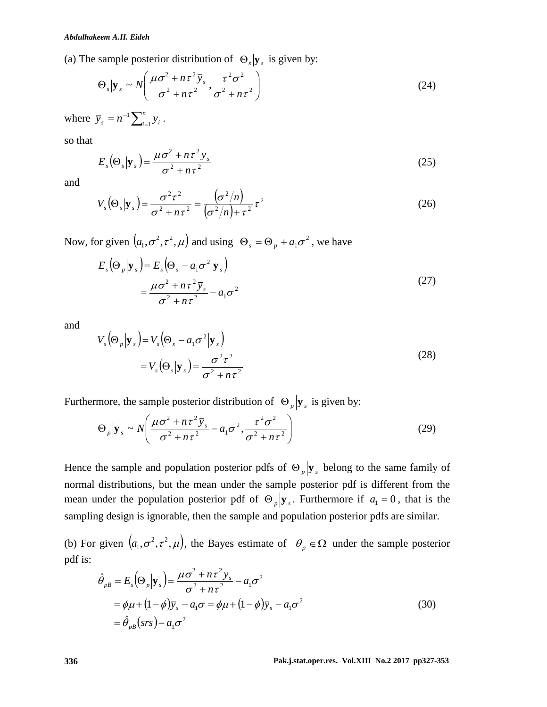(a) The sample posterior distribution of 
$$
\Theta_s | \mathbf{y}_s
$$
 is given by:  
\n
$$
\Theta_s | \mathbf{y}_s \sim N \left( \frac{\mu \sigma^2 + n \tau^2 \bar{y}_s}{\sigma^2 + n \tau^2}, \frac{\tau^2 \sigma^2}{\sigma^2 + n \tau^2} \right)
$$
\n(24)

where  $\bar{y}_s = n^{-1} \sum_{i=1}^n$  $\bar{y}_s = n^{-1} \sum_{i=1}^n y_i$  $\sum_{i=1}^n y_i$ .

so that

$$
E_s(\Theta_s|\mathbf{y}_s) = \frac{\mu\sigma^2 + n\tau^2 \bar{y}_s}{\sigma^2 + n\tau^2}
$$
 (25)

and

$$
V_s(\Theta_s|\mathbf{y}_s) = \frac{\sigma^2 \tau^2}{\sigma^2 + n\tau^2} = \frac{(\sigma^2/n)}{(\sigma^2/n) + \tau^2} \tau^2
$$
 (26)

Now, for given  $(a_1, \sigma^2, \tau^2, \mu)$  and using  $\Theta_s = \Theta_p + a_1 \sigma^2$ , we have

$$
E_s(\Theta_p|\mathbf{y}_s) = E_s(\Theta_s - a_1\sigma^2|\mathbf{y}_s)
$$
  
= 
$$
\frac{\mu\sigma^2 + n\tau^2 \bar{y}_s}{\sigma^2 + n\tau^2} - a_1\sigma^2
$$
 (27)

and

$$
V_s(\Theta_p|\mathbf{y}_s) = V_s(\Theta_s - a_1\sigma^2|\mathbf{y}_s)
$$
  
=  $V_s(\Theta_s|\mathbf{y}_s) = \frac{\sigma^2\tau^2}{\sigma^2 + n\tau^2}$  (28)

Furthermore, the sample posterior distribution of 
$$
\Theta_p | \mathbf{y}_s
$$
 is given by:  
\n
$$
\Theta_p | \mathbf{y}_s \sim N \left( \frac{\mu \sigma^2 + n \tau^2 \bar{y}_s}{\sigma^2 + n \tau^2} - a_1 \sigma^2, \frac{\tau^2 \sigma^2}{\sigma^2 + n \tau^2} \right)
$$
\n(29)

Hence the sample and population posterior pdfs of  $\Theta_p$   $\mathbf{y}_s$  belong to the same family of normal distributions, but the mean under the sample posterior pdf is different from the mean under the population posterior pdf of  $\Theta_p | y_s$ . Furthermore if  $a_1 = 0$ , that is the sampling design is ignorable, then the sample and population posterior pdfs are similar.

(b) For given  $(a_1, \sigma^2, \tau^2, \mu)$ , the Bayes estimate of  $\theta_p \in \Omega$  under the sample posterior pdf is:  $\mu \sigma^2 + n\tau$ 

$$
\hat{\theta}_{pB} = E_s (\Theta_p | \mathbf{y}_s) = \frac{\mu \sigma^2 + n \tau^2 \bar{y}_s}{\sigma^2 + n \tau^2} - a_1 \sigma^2
$$
  
=  $\phi \mu + (1 - \phi) \bar{y}_s - a_1 \sigma = \phi \mu + (1 - \phi) \bar{y}_s - a_1 \sigma^2$   
=  $\hat{\theta}_{pB} (srs) - a_1 \sigma^2$  (30)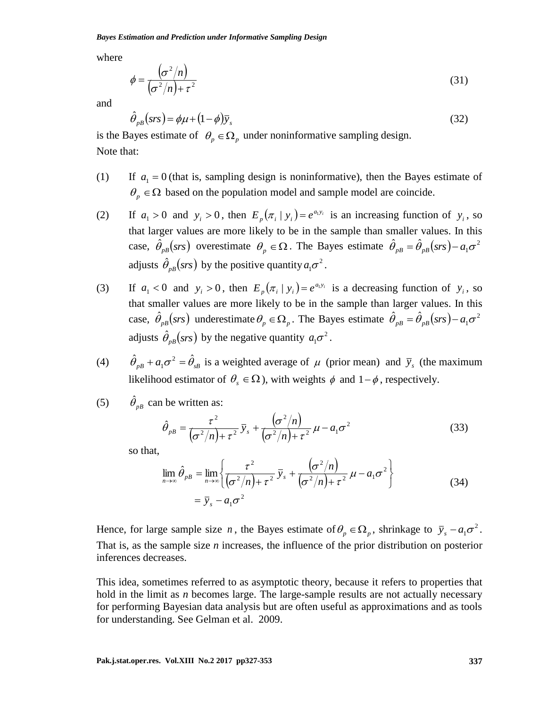*Bayes Estimation and Prediction under Informative Sampling Design*

where

$$
\phi = \frac{\left(\sigma^2/n\right)}{\left(\sigma^2/n\right) + \tau^2} \tag{31}
$$

and

$$
\hat{\theta}_{p}(\text{srs}) = \phi \mu + (1 - \phi)\bar{y}_s \tag{32}
$$

is the Bayes estimate of  $\theta_p \in \Omega_p$  under noninformative sampling design. Note that:

- $(1)$  $a_1 = 0$  (that is, sampling design is noninformative), then the Bayes estimate of  $\theta_p \in \Omega$  based on the population model and sample model are coincide.
- $(2)$  $a_1 > 0$  and  $y_i > 0$ , then  $E_p(\pi_i | y_i) = e^{a_i y_i}$  is an increasing function of  $y_i$ , so that larger values are more likely to be in the sample than smaller values. In this case,  $\hat{\theta}_{pB}(srs)$  overestimate  $\theta_p \in \Omega$ . The Bayes estimate  $\hat{\theta}_{pB} = \hat{\theta}_{pB}(srs) - a_1\sigma^2$ adjusts  $\hat{\theta}_{pB}(srs)$  by the positive quantity  $a_1\sigma^2$ .
- $(3)$  $a_1 < 0$  and  $y_i > 0$ , then  $E_p(\pi_i | y_i) = e^{a_i y_i}$  is a decreasing function of  $y_i$ , so that smaller values are more likely to be in the sample than larger values. In this case,  $\hat{\theta}_{pB}(srs)$  underestimate  $\theta_p \in \Omega_p$ . The Bayes estimate  $\hat{\theta}_{pB} = \hat{\theta}_{pB}(srs) - a_1\sigma^2$ adjusts  $\hat{\theta}_{pB}(srs)$  by the negative quantity  $a_1 \sigma^2$ .
- (4)  $\hat{\theta}_{pB} + a_1 \sigma^2 = \hat{\theta}_{sB}$  is a weighted average of  $\mu$  (prior mean) and  $\bar{y}_s$  (the maximum likelihood estimator of  $\theta_s \in \Omega$ ), with weights  $\phi$  and  $1-\phi$ , respectively.
- (5)  $\hat{\theta}_{pB}$  can be written as:

$$
\hat{\theta}_{p} = \frac{\tau^2}{\left(\sigma^2/n\right) + \tau^2} \bar{y}_s + \frac{\left(\sigma^2/n\right)}{\left(\sigma^2/n\right) + \tau^2} \mu - a_1 \sigma^2 \tag{33}
$$

so that,

$$
\lim_{n \to \infty} \hat{\theta}_{pB} = \lim_{n \to \infty} \left\{ \frac{\tau^2}{(\sigma^2/n) + \tau^2} \overline{y}_s + \frac{(\sigma^2/n)}{(\sigma^2/n) + \tau^2} \mu - a_1 \sigma^2 \right\}
$$
\n
$$
= \overline{y}_s - a_1 \sigma^2
$$
\n(34)

Hence, for large sample size *n*, the Bayes estimate of  $\theta_p \in \Omega_p$ , shrinkage to  $\bar{y}_s - a_1 \sigma^2$ . That is, as the sample size *n* increases, the influence of the prior distribution on posterior inferences decreases.

This idea, sometimes referred to as asymptotic theory, because it refers to properties that hold in the limit as *n* becomes large. The large-sample results are not actually necessary for performing Bayesian data analysis but are often useful as approximations and as tools for understanding. See Gelman et al. 2009.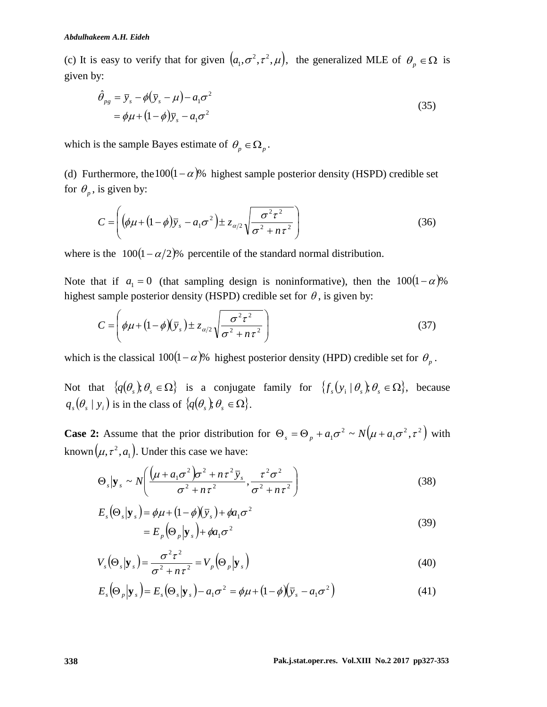(c) It is easy to verify that for given  $(a_1, \sigma^2, \tau^2, \mu)$ , the generalized MLE of  $\theta_p \in \Omega$  is given by:

$$
\hat{\theta}_{pg} = \bar{y}_s - \phi(\bar{y}_s - \mu) - a_1 \sigma^2 \n= \phi \mu + (1 - \phi)\bar{y}_s - a_1 \sigma^2
$$
\n(35)

which is the sample Bayes estimate of  $\theta_p \in \Omega_p$ .

(d) Furthermore, the  $100(1-\alpha)$ % highest sample posterior density (HSPD) credible set for  $\theta_p$ , is given by:

$$
C = \left( \left( \phi \mu + (1 - \phi) \overline{y}_s - a_1 \sigma^2 \right) \pm z_{\alpha/2} \sqrt{\frac{\sigma^2 \tau^2}{\sigma^2 + n \tau^2}} \right)
$$
(36)

where is the  $100(1 - \alpha/2)$ % percentile of the standard normal distribution.

Note that if  $a_1 = 0$  (that sampling design is noninformative), then the  $100(1 - \alpha)$ % highest sample posterior density (HSPD) credible set for  $\theta$ , is given by:

$$
C = \left(\phi\mu + (1-\phi)(\bar{y}_s) \pm z_{\alpha/2}\sqrt{\frac{\sigma^2\tau^2}{\sigma^2 + n\tau^2}}\right)
$$
\n(37)

which is the classical  $100(1-\alpha)$ % highest posterior density (HPD) credible set for  $\theta_p$ .

Not that  $\{q(\theta_s), \theta_s \in \Omega\}$  is a conjugate family for  $\{f_s(y_i | \theta_s), \theta_s \in \Omega\}$ , because  $q_s(\theta_s | y_i)$  is in the class of  $\{q(\theta_s), \theta_s \in \Omega\}$ .

**Case 2:** Assume that the prior distribution for  $\Theta_{\rm s} = \Theta_{\rm n} + a_1 \sigma^2 \sim N(\mu + a_1 \sigma^2, \tau^2)$ 1  $\Theta_s = \Theta_p + a_1 \sigma^2 \sim N(\mu + a_1 \sigma^2, \tau^2)$  with known  $(\mu, \tau^2, a_1)$ . Under this case we have:

$$
\Theta_s | \mathbf{y}_s \sim N \left( \frac{(\mu + a_1 \sigma^2) \sigma^2 + n \tau^2 \bar{y}_s}{\sigma^2 + n \tau^2}, \frac{\tau^2 \sigma^2}{\sigma^2 + n \tau^2} \right)
$$
(38)

$$
E_s(\Theta_s|\mathbf{y}_s) = \phi\mu + (1 - \phi)(\bar{y}_s) + \phi a_1 \sigma^2
$$
  
= 
$$
E_p(\Theta_p|\mathbf{y}_s) + \phi a_1 \sigma^2
$$
 (39)

$$
V_s(\Theta_s|\mathbf{y}_s) = \frac{\sigma^2 \tau^2}{\sigma^2 + n\tau^2} = V_p(\Theta_p|\mathbf{y}_s)
$$
(40)

$$
V_s(\mathbf{\Theta}_s|\mathbf{y}_s) = \frac{\partial^2}{\partial \mathbf{y}_s} + n\tau^2 = V_p(\mathbf{\Theta}_p|\mathbf{y}_s)
$$
(40)  

$$
E_s(\mathbf{\Theta}_p|\mathbf{y}_s) = E_s(\mathbf{\Theta}_s|\mathbf{y}_s) - a_1\sigma^2 = \phi\mu + (1-\phi)(\overline{y}_s - a_1\sigma^2)
$$
(41)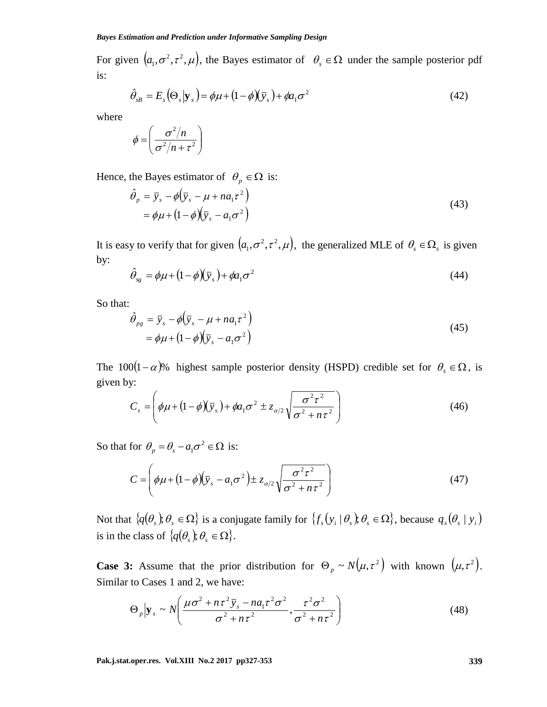For given  $(a_1, \sigma^2, \tau^2, \mu)$ , the Bayes estimator of  $\theta_s \in \Omega$  under the sample posterior pdf is:

$$
\hat{\theta}_{sB} = E_s(\Theta_s|\mathbf{y}_s) = \phi\mu + (1-\phi)(\bar{y}_s) + \phi a_1 \sigma^2
$$
\n(42)

where

$$
\phi = \left(\frac{\sigma^2/n}{\sigma^2/n + \tau^2}\right)
$$

Hence, the Bayes estimator of  $\theta_p \in \Omega$  is:

$$
\hat{\theta}_p = \bar{y}_s - \phi \left( \bar{y}_s - \mu + na_1 \tau^2 \right) \n= \phi \mu + \left( 1 - \phi \right) \left( \bar{y}_s - a_1 \sigma^2 \right)
$$
\n(43)

It is easy to verify that for given  $(a_1, \sigma^2, \tau^2, \mu)$ , the generalized MLE of  $\theta_s \in \Omega_s$  is given by:

$$
\hat{\theta}_{sg} = \phi \mu + (1 - \phi)(\bar{y}_s) + \phi a_1 \sigma^2 \tag{44}
$$

So that:

$$
\hat{\theta}_{pg} = \bar{y}_s - \phi \left( \bar{y}_s - \mu + na_1 \tau^2 \right) \n= \phi \mu + (1 - \phi) \left( \bar{y}_s - a_1 \sigma^2 \right)
$$
\n(45)

The 100 $(1-\alpha)$ % highest sample posterior density (HSPD) credible set for  $\theta_s \in \Omega$ , is given by:

y:  
\n
$$
C_s = \left(\phi\mu + (1-\phi)(\bar{y}_s) + \phi a_1\sigma^2 \pm z_{\alpha/2}\sqrt{\frac{\sigma^2\tau^2}{\sigma^2 + n\tau^2}}\right)
$$
\n(46)

So that for  $\theta_p = \theta_s - a_1 \sigma^2 \in \Omega$  is:

$$
C = \left(\phi\mu + \left(1 - \phi\right)\left(\bar{y}_s - a_1\sigma^2\right) \pm z_{\alpha/2}\sqrt{\frac{\sigma^2\tau^2}{\sigma^2 + n\tau^2}}\right)
$$
(47)

Not that  $\{q(\theta_s), \theta_s \in \Omega\}$  is a conjugate family for  $\{f_s(y_i | \theta_s), \theta_s \in \Omega\}$ , because  $q_s(\theta_s | y_i)$ is in the class of  $\{q(\theta_s), \theta_s \in \Omega\}$ .

**Case 3:** Assume that the prior distribution for  $\Theta_p \sim N(\mu, \tau^2)$  with known  $(\mu, \tau^2)$ .

Similar to Cases 1 and 2, we have:  
\n
$$
\Theta_p \Big| \mathbf{y}_s \sim N \Bigg( \frac{\mu \sigma^2 + n \tau^2 \bar{y}_s - n a_1 \tau^2 \sigma^2}{\sigma^2 + n \tau^2}, \frac{\tau^2 \sigma^2}{\sigma^2 + n \tau^2} \Bigg)
$$
\n(48)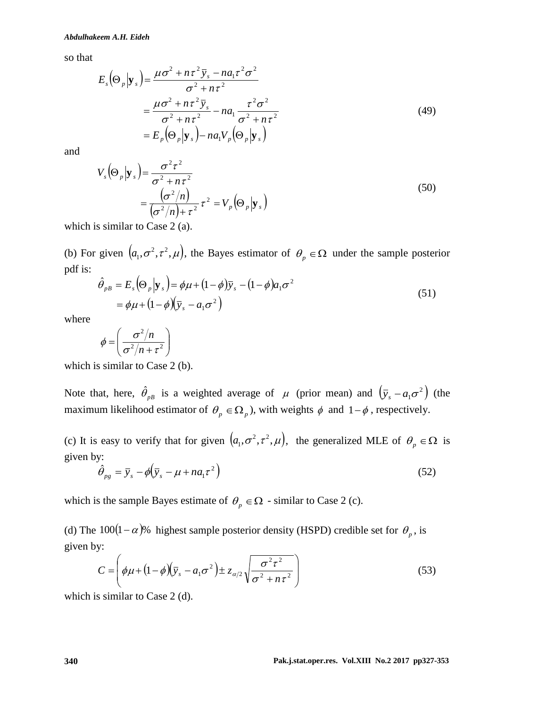so that

$$
E_s(\Theta_p|\mathbf{y}_s) = \frac{\mu\sigma^2 + n\tau^2 \bar{y}_s - na_1\tau^2 \sigma^2}{\sigma^2 + n\tau^2}
$$
  
= 
$$
\frac{\mu\sigma^2 + n\tau^2 \bar{y}_s}{\sigma^2 + n\tau^2} - na_1 \frac{\tau^2 \sigma^2}{\sigma^2 + n\tau^2}
$$
  
= 
$$
E_p(\Theta_p|\mathbf{y}_s) - na_1 V_p(\Theta_p|\mathbf{y}_s)
$$
 (49)

and

$$
V_s(\Theta_p|\mathbf{y}_s) = \frac{\sigma^2 \tau^2}{\sigma^2 + n\tau^2}
$$
  
= 
$$
\frac{(\sigma^2/n)}{(\sigma^2/n) + \tau^2} \tau^2 = V_p(\Theta_p|\mathbf{y}_s)
$$
 (50)

which is similar to Case 2 (a).

(b) For given  $(a_1, \sigma^2, \tau^2, \mu)$ , the Bayes estimator of  $\theta_p \in \Omega$  under the sample posterior pdf is:

$$
\hat{\theta}_{p} = E_s(\Theta_p|\mathbf{y}_s) = \phi\mu + (1-\phi)\bar{y}_s - (1-\phi)a_1\sigma^2
$$
  
=  $\phi\mu + (1-\phi)(\bar{y}_s - a_1\sigma^2)$  (51)

where

$$
\phi = \left(\frac{\sigma^2/n}{\sigma^2/n + \tau^2}\right)
$$

which is similar to Case 2 (b).

Note that, here,  $\hat{\theta}_{pB}$  is a weighted average of  $\mu$  (prior mean) and  $(\bar{y}_s - a_1\sigma^2)$  (the maximum likelihood estimator of  $\theta_p \in \Omega_p$ , with weights  $\phi$  and  $1-\phi$ , respectively.

(c) It is easy to verify that for given  $(a_1, \sigma^2, \tau^2, \mu)$ , the generalized MLE of  $\theta_p \in \Omega$  is given by:

$$
\hat{\theta}_{pg} = \bar{y}_s - \phi \left( \bar{y}_s - \mu + na_1 \tau^2 \right) \tag{52}
$$

which is the sample Bayes estimate of  $\theta_p \in \Omega$  - similar to Case 2 (c).

(d) The  $100(1-\alpha)$ % highest sample posterior density (HSPD) credible set for  $\theta_p$ , is given by:

$$
C = \left(\phi\mu + \left(1 - \phi\right)\left(\overline{y}_s - a_1\sigma^2\right) \pm z_{\alpha/2}\sqrt{\frac{\sigma^2\tau^2}{\sigma^2 + n\tau^2}}\right)
$$
(53)

which is similar to Case 2 (d).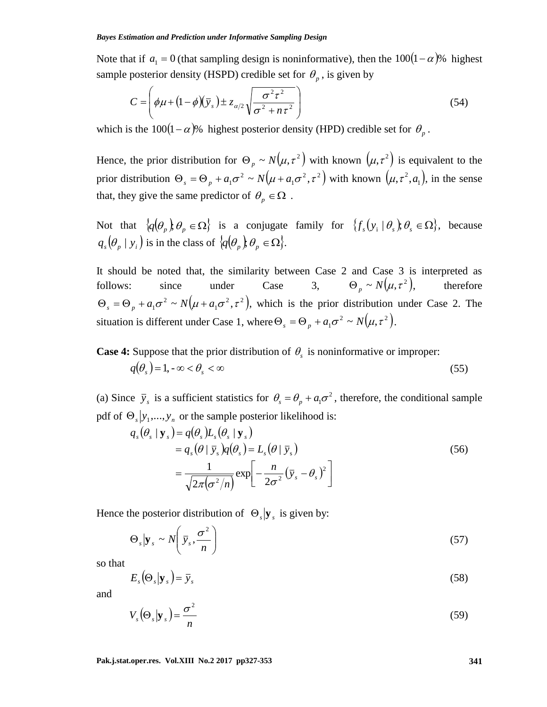Note that if  $a_1 = 0$  (that sampling design is noninformative), then the  $100(1 - \alpha)$ % highest sample posterior density (HSPD) credible set for  $\theta_p$ , is given by

$$
C = \left(\phi\mu + \left(1 - \phi\right)\left(\overline{y}_s\right) \pm z_{\alpha/2}\sqrt{\frac{\sigma^2\tau^2}{\sigma^2 + n\tau^2}}\right) \tag{54}
$$

which is the  $100(1-\alpha)$ % highest posterior density (HPD) credible set for  $\theta_p$ .

Hence, the prior distribution for  $\Theta_p \sim N(\mu, \tau^2)$  with known  $(\mu, \tau^2)$  is equivalent to the prior distribution  $\Theta_s = \Theta_n + a_1 \sigma^2 \sim N(\mu + a_1 \sigma^2, \tau^2)$ 1  $\Theta_s = \Theta_p + a_1 \sigma^2 \sim N(\mu + a_1 \sigma^2, \tau^2)$  with known  $(\mu, \tau^2, a_1)$ , in the sense that, they give the same predictor of  $\theta_p \in \Omega$ .

Not that  $\{q(\theta_p), \theta_p \in \Omega\}$  is a conjugate family for  $\{f_s(y_i | \theta_s), \theta_s \in \Omega\}$ , because  $q_s(\theta_p | y_i)$  is in the class of  $\{q(\theta_p), \theta_p \in \Omega\}.$ 

It should be noted that, the similarity between Case 2 and Case 3 is interpreted as follows: since under Case 3,  $\Theta_p \sim N(\mu, \tau^2),$ therefore  $(\mu + a_1 \sigma^2, \tau^2),$ 1  $\Theta_s = \Theta_p + a_1 \sigma^2 \sim N(\mu + a_1 \sigma^2, \tau^2)$ , which is the prior distribution under Case 2. The situation is different under Case 1, where  $\Theta_s = \Theta_p + a_1 \sigma^2 \sim N(\mu, \tau^2)$ .

**Case 4:** Suppose that the prior distribution of  $\theta_s$  is noninformative or improper:

$$
q(\theta_s) = 1, -\infty < \theta_s < \infty \tag{55}
$$

(a) Since  $\bar{y}_s$  is a sufficient statistics for  $\theta_s = \theta_p + a_1 \sigma^2$ , therefore, the conditional sample pdf of  $\Theta_s|y_1,...,y_n$  or the sample posterior likelihood is:

$$
q_s(\theta_s \mid \mathbf{y}_s) = q(\theta_s)L_s(\theta_s \mid \mathbf{y}_s)
$$
  
=  $q_s(\theta \mid \bar{y}_s)q(\theta_s) = L_s(\theta \mid \bar{y}_s)$   
=  $\frac{1}{\sqrt{2\pi(\sigma^2/n)}} \exp\left[-\frac{n}{2\sigma^2}(\bar{y}_s - \theta_s)^2\right]$  (56)

Hence the posterior distribution of  $\Theta_s|\mathbf{y}_s|$  is given by:

$$
\Theta_s | \mathbf{y}_s \sim N \left( \bar{y}_s, \frac{\sigma^2}{n} \right) \tag{57}
$$

so that

$$
E_s(\Theta_s|\mathbf{y}_s) = \bar{y}_s \tag{58}
$$

and

$$
V_s(\Theta_s|\mathbf{y}_s) = \frac{\sigma^2}{n}
$$
\n(59)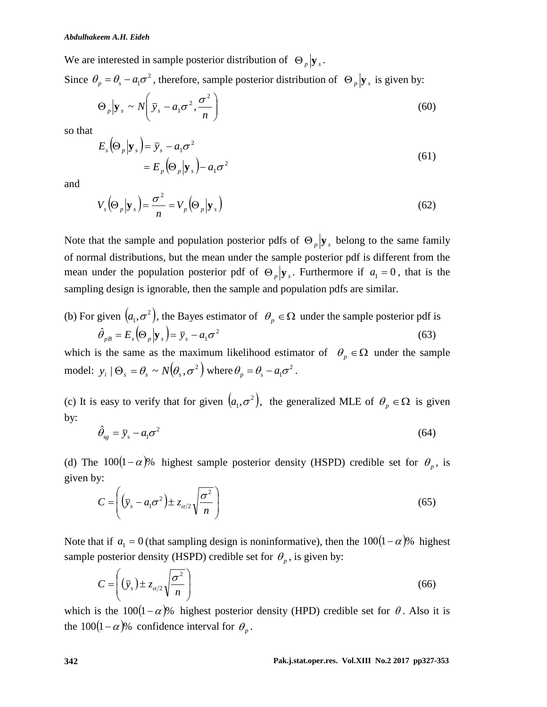We are interested in sample posterior distribution of  $\Theta_p | y_s$ .

Since  $\theta_p = \theta_s - a_1 \sigma^2$ , therefore, sample posterior distribution of  $\Theta_p | \mathbf{y}_s$  is given by:

$$
\Theta_p \Big| \mathbf{y}_s \sim N \Big( \bar{\mathbf{y}}_s - a_1 \sigma^2, \frac{\sigma^2}{n} \Big) \tag{60}
$$

so that

$$
E_s(\Theta_p|\mathbf{y}_s) = \bar{y}_s - a_1\sigma^2
$$
  
=  $E_p(\Theta_p|\mathbf{y}_s) - a_1\sigma^2$  (61)

and

$$
V_s(\Theta_p|\mathbf{y}_s) = \frac{\sigma^2}{n} = V_p(\Theta_p|\mathbf{y}_s)
$$
\n(62)

Note that the sample and population posterior pdfs of  $\Theta_p$   $\mathbf{y}_s$  belong to the same family of normal distributions, but the mean under the sample posterior pdf is different from the mean under the population posterior pdf of  $\Theta_p | y_s$ . Furthermore if  $a_1 = 0$ , that is the sampling design is ignorable, then the sample and population pdfs are similar.

(b) For given 
$$
(a_1, \sigma^2)
$$
, the Bayes estimator of  $\theta_p \in \Omega$  under the sample posterior pdf is  
\n
$$
\hat{\theta}_{p} = E_s(\Theta_p | \mathbf{y}_s) = \bar{y}_s - a_1 \sigma^2
$$
\n(63)

which is the same as the maximum likelihood estimator of  $\theta_p \in \Omega$  under the sample model:  $y_i | \Theta_s = \theta_s \sim N(\theta_s, \sigma^2)$  where  $\theta_p = \theta_s - a_1 \sigma^2$ .

(c) It is easy to verify that for given  $(a_1, \sigma^2)$ , the generalized MLE of  $\theta_p \in \Omega$  is given by:

$$
\hat{\theta}_{sg} = \bar{y}_s - a_1 \sigma^2 \tag{64}
$$

(d) The  $100(1-\alpha)$ % highest sample posterior density (HSPD) credible set for  $\theta_p$ , is given by:

$$
C = \left( \left( \bar{y}_s - a_1 \sigma^2 \right) \pm z_{\alpha/2} \sqrt{\frac{\sigma^2}{n}} \right) \tag{65}
$$

Note that if  $a_1 = 0$  (that sampling design is noninformative), then the  $100(1 - \alpha)$ % highest sample posterior density (HSPD) credible set for  $\theta_p$ , is given by:

$$
C = \left( \left( \bar{y}_s \right) \pm z_{\alpha/2} \sqrt{\frac{\sigma^2}{n}} \right) \tag{66}
$$

which is the  $100(1-\alpha)$ % highest posterior density (HPD) credible set for  $\theta$ . Also it is the 100(1 –  $\alpha$ )% confidence interval for  $\theta_p$ .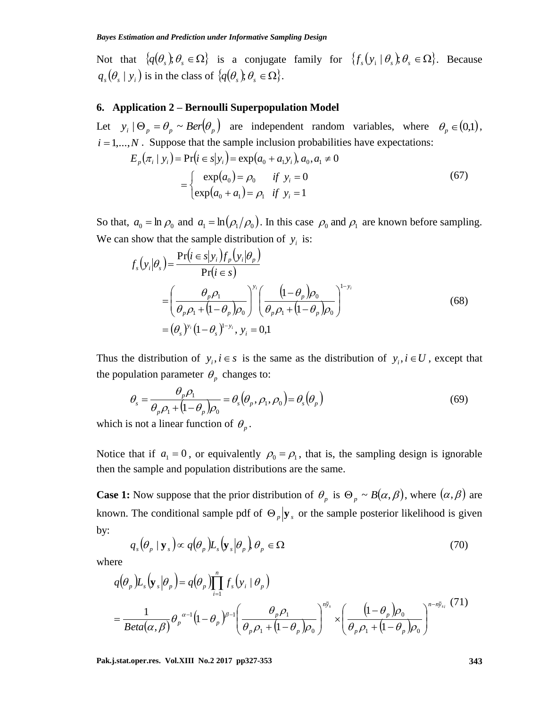Not that  $\{q(\theta_s), \theta_s \in \Omega\}$  is a conjugate family for  $\{f_s(y_i | \theta_s), \theta_s \in \Omega\}$ . Because  $q_s(\theta_s | y_i)$  is in the class of  $\{q(\theta_s); \theta_s \in \Omega\}$ .

#### **6. Application 2 – Bernoulli Superpopulation Model**

Let  $y_i | \Theta_p = \theta_p \sim Ber(\theta_p)$  are independent random variables, where  $\theta_p \in (0,1)$ ,  $i = 1,...,N$ . Suppose that the sample inclusion probabilities have expectations:

$$
E_p(\pi_i \mid y_i) = \Pr(i \in s | y_i) = \exp(a_0 + a_1 y_i), a_0, a_1 \neq 0
$$
  
= 
$$
\begin{cases} \exp(a_0) = \rho_0 & \text{if } y_i = 0\\ \exp(a_0 + a_1) = \rho_1 & \text{if } y_i = 1 \end{cases}
$$
 (67)

So that,  $a_0 = \ln \rho_0$  and  $a_1 = \ln(\rho_1/\rho_0)$ . In this case  $\rho_0$  and  $\rho_1$  are known before sampling. We can show that the sample distribution of  $y_i$  is:

$$
f_s(y_i|\theta_s) = \frac{\Pr(i \in s|y_i)f_p(y_i|\theta_p)}{\Pr(i \in s)} \n= \left(\frac{\theta_p \rho_1}{\theta_p \rho_1 + (1-\theta_p)\rho_0}\right)^{y_i} \left(\frac{(1-\theta_p)\rho_0}{\theta_p \rho_1 + (1-\theta_p)\rho_0}\right)^{1-y_i} \n= (\theta_s)^{y_i} (1-\theta_s)^{1-y_i}, y_i = 0,1
$$
\n(68)

Thus the distribution of  $y_i, i \in s$  is the same as the distribution of  $y_i, i \in U$ , except that the population parameter  $\theta_p$  changes to:

$$
\theta_s = \frac{\theta_p \rho_1}{\theta_p \rho_1 + (1 - \theta_p)\rho_0} = \theta_s(\theta_p, \rho_1, \rho_0) = \theta_s(\theta_p)
$$
\n(69)

which is not a linear function of  $\theta_p$ .

Notice that if  $a_1 = 0$ , or equivalently  $\rho_0 = \rho_1$ , that is, the sampling design is ignorable then the sample and population distributions are the same.

**Case 1:** Now suppose that the prior distribution of  $\theta_p$  is  $\Theta_p \sim B(\alpha, \beta)$ , where  $(\alpha, \beta)$  are known. The conditional sample pdf of  $\Theta_p | y_s$  or the sample posterior likelihood is given by:

$$
q_s(\theta_p \mid \mathbf{y}_s) \propto q(\theta_p) L_s(\mathbf{y}_s | \theta_p) \theta_p \in \Omega
$$
\n(70)

where

$$
q(\theta_p)L_s(\mathbf{y}_s|\theta_p) = q(\theta_p)\prod_{i=1}^n f_s(\mathbf{y}_i | \theta_p)
$$
  
= 
$$
\frac{1}{Beta(\alpha, \beta)}\theta_p^{\alpha-1}(1-\theta_p)^{\beta-1}\left(\frac{\theta_p \rho_1}{\theta_p \rho_1 + (1-\theta_p)\rho_0}\right)^{n\bar{y}_s} \times \left(\frac{(1-\theta_p)\rho_0}{\theta_p \rho_1 + (1-\theta_p)\rho_0}\right)^{n-n\bar{y}_s} (71)
$$

**Pak.j.stat.oper.res. Vol.XIII No.2 2017 pp327-353 343**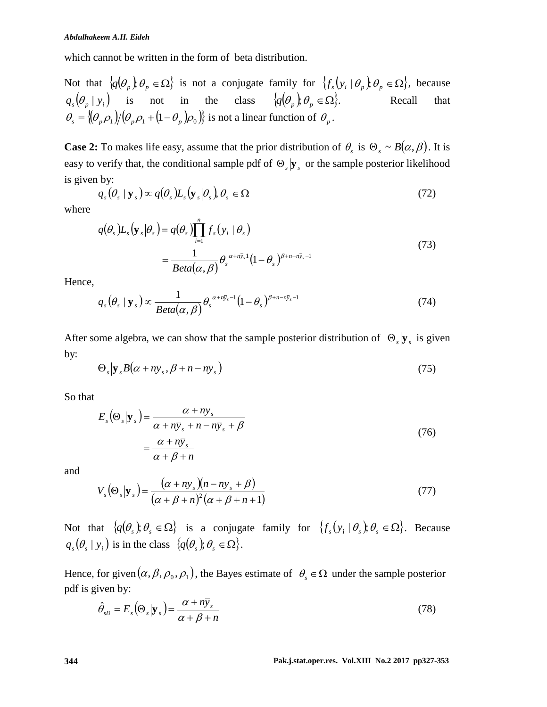which cannot be written in the form of beta distribution.

Not that  $\{q(\theta_p), \theta_p \in \Omega\}$  is not a conjugate family for  $\{f_s(y_i | \theta_p), \theta_p \in \Omega\}$ , because  $q_s(\theta_p | y_i)$  is not in the class  $\{q(\theta_p), \theta_p \in \Omega\}$ . Recall that  $\theta_s = \left\langle \left( \theta_p \rho_1 \right) / \left( \theta_p \rho_1 + \left( 1 - \theta_p \right) \rho_0 \right) \right\rangle$  is not a linear function of  $\theta_p$ .

**Case 2:** To makes life easy, assume that the prior distribution of  $\theta_s$  is  $\Theta_s \sim B(\alpha, \beta)$ . It is easy to verify that, the conditional sample pdf of  $\Theta_s$ ,  $\mathbf{y}_s$  or the sample posterior likelihood is given by:

$$
q_s(\theta_s \mid \mathbf{y}_s) \propto q(\theta_s) L_s(\mathbf{y}_s | \theta_s), \theta_s \in \Omega
$$
\n(72)

where

$$
q(\theta_s)L_s(\mathbf{y}_s|\theta_s) = q(\theta_s) \prod_{i=1}^n f_s(y_i | \theta_s)
$$
  
= 
$$
\frac{1}{Beta(\alpha, \beta)} \theta_s^{\alpha + n\bar{y}_s} (1 - \theta_s)^{\beta + n - n\bar{y}_s - 1}
$$
 (73)

Hence,

$$
q_s(\theta_s \mid \mathbf{y}_s) \propto \frac{1}{Beta(\alpha, \beta)} \theta_s^{\alpha + n\bar{y}_s - 1} (1 - \theta_s)^{\beta + n - n\bar{y}_s - 1}
$$
\n(74)

After some algebra, we can show that the sample posterior distribution of  $\Theta_s|\mathbf{y}_s|$  is given by:

$$
\Theta_s | \mathbf{y}_s B(\alpha + n \bar{\mathbf{y}}_s, \beta + n - n \bar{\mathbf{y}}_s) \tag{75}
$$

So that

$$
E_s(\Theta_s|\mathbf{y}_s) = \frac{\alpha + n\bar{y}_s}{\alpha + n\bar{y}_s + n - n\bar{y}_s + \beta}
$$
  
= 
$$
\frac{\alpha + n\bar{y}_s}{\alpha + \beta + n}
$$
 (76)

and

$$
V_s(\Theta_s|\mathbf{y}_s) = \frac{(\alpha + n\bar{y}_s)(n - n\bar{y}_s + \beta)}{(\alpha + \beta + n)^2(\alpha + \beta + n + 1)}
$$
(77)

Not that  $\{q(\theta_s), \theta_s \in \Omega\}$  is a conjugate family for  $\{f_s(y_i | \theta_s), \theta_s \in \Omega\}$ . Because  $q_s(\theta_s | y_i)$  is in the class  $\{q(\theta_s); \theta_s \in \Omega\}.$ 

Hence, for given  $(\alpha, \beta, \rho_0, \rho_1)$ , the Bayes estimate of  $\theta_s \in \Omega$  under the sample posterior pdf is given by:

$$
\hat{\theta}_{sB} = E_s \left( \Theta_s | \mathbf{y}_s \right) = \frac{\alpha + n \bar{\mathbf{y}}_s}{\alpha + \beta + n} \tag{78}
$$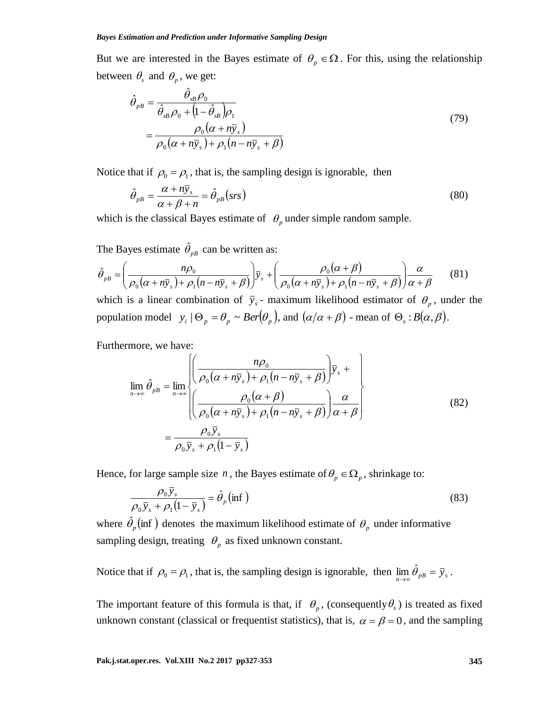But we are interested in the Bayes estimate of  $\theta_p \in \Omega$ . For this, using the relationship between  $\theta_s$  and  $\theta_p$ , we get:

$$
\hat{\theta}_{pB} = \frac{\hat{\theta}_{sB} \rho_0}{\hat{\theta}_{sB} \rho_0 + (1 - \hat{\theta}_{sB}) \rho_1} \n= \frac{\rho_0 (\alpha + n \bar{y}_s)}{\rho_0 (\alpha + n \bar{y}_s) + \rho_1 (n - n \bar{y}_s + \beta)}
$$
\n(79)

Notice that if  $\rho_0 = \rho_1$ , that is, the sampling design is ignorable, then

$$
\hat{\theta}_{p} = \frac{\alpha + n\bar{y}_s}{\alpha + \beta + n} = \hat{\theta}_{p} \left(srs\right) \tag{80}
$$

which is the classical Bayes estimate of  $\theta_p$  under simple random sample.

The Bayes estimate  $\hat{\theta}_{pB}$  can be written as:  $(\alpha + n\overline{y}) + \rho_1(n - n\overline{y}) + \beta$  $(\alpha+\beta)$  $(\alpha + n\bar{y}_s) + \rho_1(n - n\bar{y}_s + \beta) \alpha + \beta$ α  $\rho_0(\alpha + n\bar{y}_s) + \rho_1(n - n\bar{y}_s + \beta)$  $\rho_0(\alpha+\beta)$  $\rho_0(\alpha + n\bar{y}_s) + \rho_1(n - n\bar{y}_s + \beta)$  $\hat{\theta}_{pB} = \left(\frac{n\rho_0}{\rho_0(\alpha + n\bar{y}_s) + \rho_1(n - n\bar{y}_s + \beta)}\right)\bar{y}_s + \left(\frac{\rho_0(\alpha + \beta)}{\rho_0(\alpha + n\bar{y}_s) + \rho_1(n - n\bar{y}_s + \beta)}\right)\frac{\alpha}{\alpha + n\bar{y}_s + \beta}$ J  $\setminus$  $\overline{\phantom{a}}$  $\setminus$ ſ  $+n\overline{y}_s$ ) +  $\rho_1(n-n\overline{y}_s +$  $\int \overline{y}_s + \left( \frac{\rho_0(\alpha + \beta)}{\rho_0(\alpha + n\overline{y}) + \rho_0} \right)$ J  $\backslash$  $\overline{\phantom{a}}$  $\setminus$ ſ  $+n\overline{y}_s$ ) +  $\rho_1(n-n\overline{y}_s +$  $=$  $s$  *f*  $\tau$  *f*<sub>1</sub> $\mu$  *f*  $\mu$  *f*<sub>*s*</sub> *s*  $\bar{p}_B = \left(\frac{n\rho_0}{\rho_0(\alpha + n\bar{y}_s) + \rho_1(n - n\bar{y}_s + \beta)}\right)\bar{y}_s + \left(\frac{\rho_0(\alpha + \beta)}{\rho_0(\alpha + n\bar{y}_s) + \rho_1(n - n\bar{y}_s + \beta)}\right)$ *y*  $n\bar{y}_s$ ) +  $\rho_1(n - n\bar{y})$ *n*  $0\left(\alpha + \mu y_s\right) + \mu_1$ 0  $0(u + hy_s) + \mu_1$  $\hat{\theta} =$   $\frac{n\rho_0}{a}$ (81)

which is a linear combination of  $\bar{y}_s$  - maximum likelihood estimator of  $\theta_p$ , under the population model  $y_i | \Theta_p = \theta_p \sim Ber(\theta_p)$ , and  $(\alpha/\alpha + \beta)$  - mean of  $\Theta_s : B(\alpha, \beta)$ .

Furthermore, we have:

$$
\lim_{n \to \infty} \hat{\theta}_{pB} = \lim_{n \to \infty} \left\{ \left( \frac{n\rho_0}{\rho_0(\alpha + n\bar{y}_s) + \rho_1(n - n\bar{y}_s + \beta)} \right) \bar{y}_s + \left( \frac{n\rho_0(\alpha + n\bar{y}_s) + \rho_1(n - n\bar{y}_s + \beta)}{\rho_0(\alpha + n\bar{y}_s) + \rho_1(n - n\bar{y}_s + \beta)} \right) \frac{\alpha}{\alpha + \beta} \right\}
$$
\n
$$
= \frac{\rho_0 \bar{y}_s}{\rho_0 \bar{y}_s + \rho_1(1 - \bar{y}_s)}
$$
\n(82)

Hence, for large sample size *n*, the Bayes estimate of  $\theta_p \in \Omega_p$ , shrinkage to:

$$
\frac{\rho_0 \bar{y}_s}{\rho_0 \bar{y}_s + \rho_1 (1 - \bar{y}_s)} = \hat{\theta}_p (\text{inf})
$$
\n(83)

where  $\hat{\theta}_p$  (inf) denotes the maximum likelihood estimate of  $\theta_p$  under informative sampling design, treating  $\theta_p$  as fixed unknown constant.

Notice that if  $\rho_0 = \rho_1$ , that is, the sampling design is ignorable, then  $\lim_{n \to \infty} \hat{\theta}_{pB} = \bar{y}_s$  $\lim \hat{\theta}_{nB} = \overline{y}_{s}.$ 

The important feature of this formula is that, if  $\theta_p$ , (consequently  $\theta_s$ ) is treated as fixed unknown constant (classical or frequentist statistics), that is,  $\alpha = \beta = 0$ , and the sampling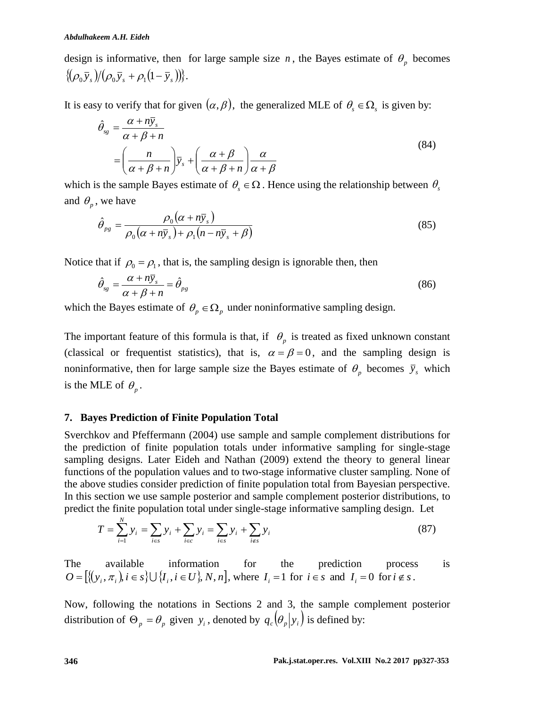design is informative, then for large sample size  $n$ , the Bayes estimate of  $\theta_p$  becomes  $\{\left(\rho_0 \bar{y}_s\right) / \left(\rho_0 \bar{y}_s + \rho_1 (1 - \bar{y}_s)\right)\}.$ 

It is easy to verify that for given  $(\alpha, \beta)$ , the generalized MLE of  $\theta_s \in \Omega_s$  is given by:

$$
\hat{\theta}_{sg} = \frac{\alpha + n\bar{y}_s}{\alpha + \beta + n} \n= \left(\frac{n}{\alpha + \beta + n}\right)\bar{y}_s + \left(\frac{\alpha + \beta}{\alpha + \beta + n}\right)\frac{\alpha}{\alpha + \beta}
$$
\n(84)

which is the sample Bayes estimate of  $\theta_s \in \Omega$ . Hence using the relationship between  $\theta_s$ and  $\theta_p$ , we have

$$
\hat{\theta}_{pg} = \frac{\rho_0(\alpha + n\bar{y}_s)}{\rho_0(\alpha + n\bar{y}_s) + \rho_1(n - n\bar{y}_s + \beta)}
$$
(85)

Notice that if  $\rho_0 = \rho_1$ , that is, the sampling design is ignorable then, then

$$
\hat{\theta}_{sg} = \frac{\alpha + n\bar{y}_s}{\alpha + \beta + n} = \hat{\theta}_{pg} \tag{86}
$$

which the Bayes estimate of  $\theta_p \in \Omega_p$  under noninformative sampling design.

The important feature of this formula is that, if  $\theta_p$  is treated as fixed unknown constant (classical or frequentist statistics), that is,  $\alpha = \beta = 0$ , and the sampling design is noninformative, then for large sample size the Bayes estimate of  $\theta_p$  becomes  $\bar{y}_s$  which is the MLE of  $\theta_p$ .

### **7. Bayes Prediction of Finite Population Total**

Sverchkov and Pfeffermann (2004) use sample and sample complement distributions for the prediction of finite population totals under informative sampling for single-stage sampling designs. Later Eideh and Nathan (2009) extend the theory to general linear functions of the population values and to two-stage informative cluster sampling. None of the above studies consider prediction of finite population total from Bayesian perspective. In this section we use sample posterior and sample complement posterior distributions, to predict the finite population total under single-stage informative sampling design. Let

$$
T = \sum_{i=1}^{N} y_i = \sum_{i \in S} y_i + \sum_{i \in C} y_i = \sum_{i \in S} y_i + \sum_{i \notin S} y_i
$$
 (87)

The available information for the prediction process is  $O = [\{(y_i, \pi_i), i \in S\} \cup \{I_i, i \in U\}, N, n]$ , where  $I_i = 1$  for  $i \in S$  and  $I_i = 0$  for  $i \notin S$ .

Now, following the notations in Sections 2 and 3, the sample complement posterior distribution of  $\Theta_p = \theta_p$  given  $y_i$ , denoted by  $q_c(\theta_p|y_i)$  is defined by: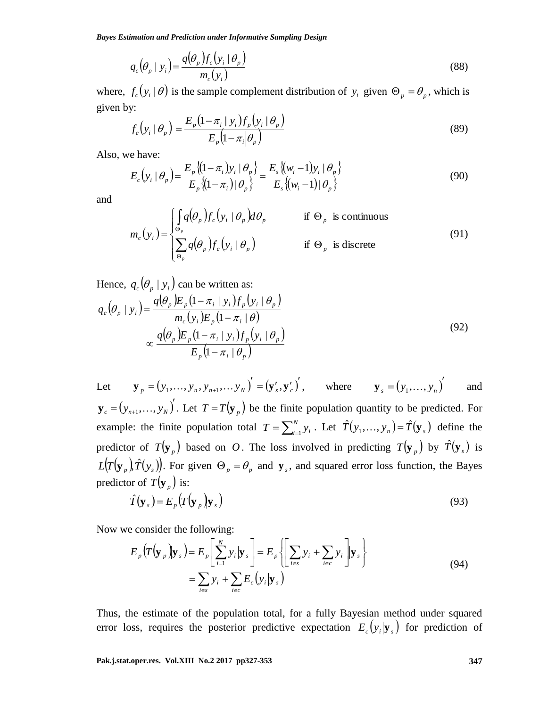*Bayes Estimation and Prediction under Informative Sampling Design*

$$
q_c(\theta_p \mid y_i) = \frac{q(\theta_p) f_c(y_i \mid \theta_p)}{m_c(y_i)}
$$
\n(88)

where,  $f_c(y_i | \theta)$  is the sample complement distribution of  $y_i$  given  $\Theta_p = \theta_p$ , which is given by:

$$
f_c(y_i | \theta_p) = \frac{E_p(1 - \pi_i | y_i) f_p(y_i | \theta_p)}{E_p(1 - \pi_i | \theta_p)}
$$
(89)

Also, we have:

$$
E_c(y_i | \theta_p) = \frac{E_p \{(1 - \pi_i) y_i | \theta_p\}}{E_p \{(1 - \pi_i) | \theta_p\}} = \frac{E_s \{(w_i - 1) y_i | \theta_p\}}{E_s \{(w_i - 1) | \theta_p\}}
$$
(90)

and

$$
m_c(y_i) = \begin{cases} \int_{\Theta_p} q(\theta_p) f_c(y_i \mid \theta_p) d\theta_p & \text{if } \Theta_p \text{ is continuous} \\ \sum_{\Theta_p} q(\theta_p) f_c(y_i \mid \theta_p) & \text{if } \Theta_p \text{ is discrete} \end{cases}
$$
(91)

Hence,  $q_c(\theta_p | y_i)$  can be written as:

$$
q_c(\theta_p \mid y_i) = \frac{q(\theta_p)E_p(1-\pi_i \mid y_i)f_p(y_i \mid \theta_p)}{m_c(y_i)E_p(1-\pi_i \mid \theta)}
$$
  
 
$$
\propto \frac{q(\theta_p)E_p(1-\pi_i \mid y_i)f_p(y_i \mid \theta_p)}{E_p(1-\pi_i \mid \theta_p)}
$$
(92)

*Q*,  $\left(p_x | y_x\right) = \frac{a_{\text{P}}(y_x) \cdot \sqrt{b_{\text{P}}(y_x)}}{m_x(y_x)}$  (88)<br>
where,  $f_x(y_1|\theta_x) = \frac{F_x(1-x_x) \cdot y_x f_x(y_x|\theta_x)}{F_x(y_x-\pi/\theta_x)}$  (89)<br> **Pake.<br>
<b>Pake.**<br> **Pak.j.stat.org F\_x(y, \theta\_x) = \frac{F\_x(\frac{1}{2}(\theta\_x - \frac{1}{2}y\_x)) f\_x(y\_x|\theta\_x)}{F\_x(\frac{1}{2}(\theta\_x - \frac{1}{2}y\_x))** Let  ${\bf y}_n = (y_1, ..., y_n, y_{n+1}, ..., y_N)^{\prime} = ({\bf y}_s^{\prime}, {\bf y}_c^{\prime})^{\prime}$  $\mathbf{y}_p = (y_1, \dots, y_n, y_{n+1}, \dots, y_N) = (\mathbf{y}'_s, \mathbf{y}'_c)$ , where  $\mathbf{y}_s = (y_1, \dots, y_n)$  $\mathbf{y}_s = (y_1, \dots, y_n)$  and  $(y_{n+1},..., y_{N})^{T}$  $y_c = (y_{n+1},..., y_N)$ . Let  $T = T(y_p)$  be the finite population quantity to be predicted. For example: the finite population total  $T = \sum_{i=1}^{N}$  $T = \sum_{i=1}^{N} y_i$ . Let  $\hat{T}(y_1, \ldots, y_n) = \hat{T}(\mathbf{y}_s)$  define the predictor of  $T(\mathbf{y}_p)$  based on O. The loss involved in predicting  $T(\mathbf{y}_p)$  by  $\hat{T}(\mathbf{y}_s)$  is  $L(T(\mathbf{y}_p), \hat{T}(\mathbf{y}_s))$ . For given  $\Theta_p = \theta_p$  and  $\mathbf{y}_s$ , and squared error loss function, the Bayes predictor of  $T(\mathbf{y}_p)$  is:

$$
\hat{T}(\mathbf{y}_s) = E_p(T(\mathbf{y}_p)|\mathbf{y}_s)
$$
\n(93)

Now we consider the following:

$$
E_p(T(\mathbf{y}_p)|\mathbf{y}_s) = E_p\left[\sum_{i=1}^N y_i|\mathbf{y}_s\right] = E_p\left\{\sum_{i\in S} y_i + \sum_{i\in C} y_i\right\}|\mathbf{y}_s\right\}
$$
  
=  $\sum_{i\in S} y_i + \sum_{i\in C} E_c(y_i|\mathbf{y}_s)$  (94)

Thus, the estimate of the population total, for a fully Bayesian method under squared error loss, requires the posterior predictive expectation  $E_c(y_i|\mathbf{y}_s)$  for prediction of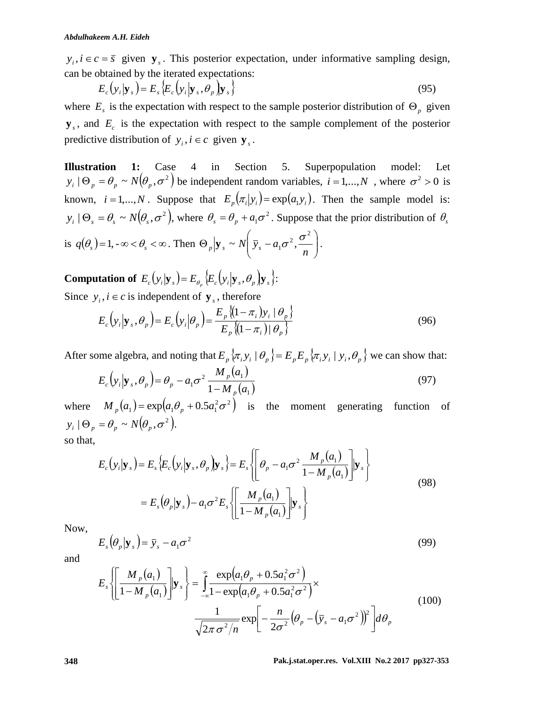$y_i$ ,  $i \in c = \overline{s}$  given  $\mathbf{y}_s$ . This posterior expectation, under informative sampling design, can be obtained by the iterated expectations:

$$
E_c(y_i|\mathbf{y}_s) = E_s\{E_c(y_i|\mathbf{y}_s,\theta_p)|\mathbf{y}_s\}
$$
\n(95)

where  $E_s$  is the expectation with respect to the sample posterior distribution of  $\Theta_p$  given  $\mathbf{y}_s$ , and  $E_c$  is the expectation with respect to the sample complement of the posterior predictive distribution of  $y_i$ ,  $i \in c$  given  $\mathbf{y}_s$ .

**Illustration 1:** Case 4 in Section 5. Superpopulation model: Let  $y_i | \Theta_p = \theta_p \sim N(\theta_p, \sigma^2)$  be independent random variables,  $i = 1,...,N$ , where  $\sigma^2 > 0$  is known,  $i = 1,...,N$ . Suppose that  $E_p(\pi_i|y_i) = \exp(a_1y_i)$ . Then the sample model is:  $y_i | \Theta_s = \theta_s \sim N(\theta_s, \sigma^2)$ , where  $\theta_s = \theta_p + a_1 \sigma^2$ . Suppose that the prior distribution of  $\theta_s$ is  $q(\theta_s) = 1, -\infty < \theta_s < \infty$ . Then  $\Theta_p | \mathbf{y}_s \sim N | \overline{\mathbf{y}}_s - a_1 \sigma^2$ ,  $\frac{\Theta_p}{n}$ J  $\backslash$  $\overline{\phantom{a}}$  $\setminus$ ſ  $\Theta_n|\mathbf{y}\rangle_{\rm s} \sim N|\bar{y}\rangle_{\rm s}$  $p \left| \mathbf{y}_s \sim N \right| \overline{\mathbf{y}}_s - a_1 \sigma^2, \frac{\sigma^2}{n}$  $\mathbf{y}_s \sim N \left( \bar{y}_s - a_1 \sigma^2, \frac{\sigma^2}{\sigma^2} \right).$ 

**Computation of**  $E_c(y_i|\mathbf{y}_s) = E_{\theta_p} \{E_c(y_i|\mathbf{y}_s, \theta_p) | \mathbf{y}_s\}$ : Since  $y_i$ ,  $i \in c$  is independent of  $\mathbf{y}_s$ , therefore

$$
E_c(y_i|\mathbf{y}_s, \theta_p) = E_c(y_i|\theta_p) = \frac{E_p\left\langle (1-\pi_i)y_i \mid \theta_p \right\}}{E_p\left\langle (1-\pi_i) \mid \theta_p \right\}}\tag{96}
$$

After some algebra, and noting that  $E_p \{ \pi_i y_i \mid \theta_p \} = E_p E_p \{ \pi_i y_i \mid y_i, \theta_p \}$  we can show that:

$$
E_c\left(y_i\big|\mathbf{y}_s,\theta_p\right) = \theta_p - a_1\sigma^2 \frac{M_p\left(a_1\right)}{1 - M_p\left(a_1\right)}
$$
\n<sup>(97)</sup>

where  $M_p(a_1) = \exp(a_1\theta_p + 0.5a_1^2\sigma^2)$  is the moment generating function of  $y_i | \Theta_p = \theta_p \sim N(\theta_p, \sigma^2).$ 

so that,

$$
E_c(y_i|\mathbf{y}_s) = E_s \Big\{ E_c(y_i|\mathbf{y}_s, \theta_p) \mathbf{y}_s \Big\} = E_s \Big\{ \Bigg[ \theta_p - a_1 \sigma^2 \frac{M_p(a_1)}{1 - M_p(a_1)} \Bigg] \mathbf{y}_s \Big\}
$$
  
= 
$$
E_s (\theta_p|\mathbf{y}_s) - a_1 \sigma^2 E_s \Big\{ \Bigg[ \frac{M_p(a_1)}{1 - M_p(a_1)} \Bigg] \mathbf{y}_s \Big\}
$$
 (98)

Now,

$$
E_s(\theta_p|\mathbf{y}_s) = \bar{y}_s - a_1\sigma^2
$$
\n(99)

and

$$
E_s \left\{ \left[ \frac{M_p(a_1)}{1 - M_p(a_1)} \right] \middle| \mathbf{y}_s \right\} = \int_{-\infty}^{\infty} \frac{\exp(a_1 \theta_p + 0.5 a_1^2 \sigma^2)}{1 - \exp(a_1 \theta_p + 0.5 a_1^2 \sigma^2)} \times \frac{1}{\sqrt{2\pi \sigma^2/n}} \exp\left[ -\frac{n}{2\sigma^2} (\theta_p - (\bar{y}_s - a_1 \sigma^2))^2 \right] d\theta_p \tag{100}
$$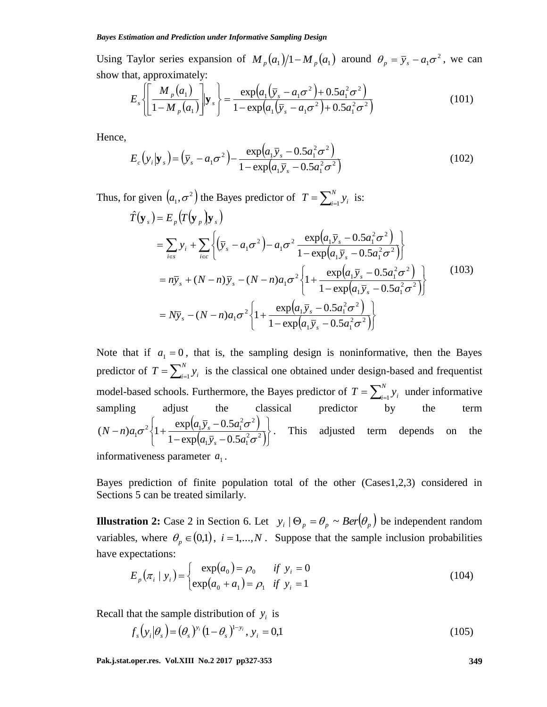Using Taylor series expansion of  $M_p(a_1)/1 - M_p(a_1)$  around  $\theta_p = \bar{y}_s - a_1 \sigma^2$ , we can show that, approximately:

$$
E_s \left\{ \left[ \frac{M_p(a_1)}{1 - M_p(a_1)} \right] \Big| \mathbf{y}_s \right\} = \frac{\exp(a_1(\bar{y}_s - a_1\sigma^2) + 0.5a_1^2\sigma^2)}{1 - \exp(a_1(\bar{y}_s - a_1\sigma^2) + 0.5a_1^2\sigma^2)}
$$
(101)

Hence,

$$
E_c(y_i|\mathbf{y}_s) = (\bar{y}_s - a_1\sigma^2) - \frac{\exp(a_1\bar{y}_s - 0.5a_1^2\sigma^2)}{1 - \exp(a_1\bar{y}_s - 0.5a_1^2\sigma^2)}
$$
(102)

Thus, for given  $(a_1, \sigma^2)$  the Bayes predictor of  $T = \sum_{i=1}^{N} a_i$  $T = \sum_{i=1}^{N} y_i$  is:

$$
\hat{T}(\mathbf{y}_{s}) = E_{p}(T(\mathbf{y}_{p})\mathbf{y}_{s})
$$
\n
$$
= \sum_{i \in S} y_{i} + \sum_{i \in C} \left\{ (\bar{y}_{s} - a_{1}\sigma^{2}) - a_{1}\sigma^{2} \frac{\exp(a_{1}\bar{y}_{s} - 0.5a_{1}^{2}\sigma^{2})}{1 - \exp(a_{1}\bar{y}_{s} - 0.5a_{1}^{2}\sigma^{2})} \right\}
$$
\n
$$
= n\bar{y}_{s} + (N - n)\bar{y}_{s} - (N - n)a_{1}\sigma^{2} \left\{ 1 + \frac{\exp(a_{1}\bar{y}_{s} - 0.5a_{1}^{2}\sigma^{2})}{1 - \exp(a_{1}\bar{y}_{s} - 0.5a_{1}^{2}\sigma^{2})} \right\}
$$
\n
$$
= N\bar{y}_{s} - (N - n)a_{1}\sigma^{2} \left\{ 1 + \frac{\exp(a_{1}\bar{y}_{s} - 0.5a_{1}^{2}\sigma^{2})}{1 - \exp(a_{1}\bar{y}_{s} - 0.5a_{1}^{2}\sigma^{2})} \right\}
$$
\n(103)

Note that if  $a_1 = 0$ , that is, the sampling design is noninformative, then the Bayes predictor of  $T = \sum_{i=1}^{N}$  $T = \sum_{i=1}^{N} y_i$  is the classical one obtained under design-based and frequentist model-based schools. Furthermore, the Bayes predictor of  $T = \sum_{i=1}^{N}$  $T = \sum_{i=1}^{N} y_i$  under informative sampling adjust the classical predictor by the term  $(a_1\bar{y}_s - 0.5a_1^2\sigma^2)$  $\left( a_1 \bar{y}_s - 0.5 a_1^2 \sigma^2 \right)$  $\overline{1}$  $\overline{\mathcal{L}}$ ╎  $\left\lceil \right\rceil$  $-\exp(a_1\bar{y}_s (n-n)a_1\sigma^2\left\{1+\frac{\exp(a_1\bar{y}_s-0.5a_1^2\sigma^2)}{1-\exp(a_1\bar{y}_s-0.5a_1^2\sigma^2)}\right\}$  $1 y_s$   $0.5 u_1$  $\alpha_1 \sigma^2 \left\{ 1 + \frac{\exp(a_1 \bar{y}_s - 0.5 a_1^2 \sigma^2)}{1 - \exp(a_1 \bar{y}_s - 0.5 a_1^2 \sigma^2)} \right\}$  $(N-n)a_1\sigma^2\left\{1+\frac{\exp(a_1\bar{y}_s-0.5a_1^2\sigma^2)}{1-\exp(a_1\bar{y}_s-0.5a_1^2\sigma^2)}\right\}$  $\sigma^2\left\{1+\frac{\exp(a_1y_s-0.5a_1\sigma)}{1-\exp(a_1\bar{y}_s-0.5a_1^2)}\right\}$  $N-n)a_1\sigma^2\left\{1+\frac{\exp(a_1\bar{y}_s-0.5a)}{(1-\bar{y}_s-a_1)^2}\right\}$ *s*  $\left\{\frac{s-0.5a_1(0)}{s-0.5a_1(0)}\right\}$ . This adjusted term depends on the

informativeness parameter  $a_1$ .

Bayes prediction of finite population total of the other (Cases1,2,3) considered in Sections 5 can be treated similarly.

**Illustration 2:** Case 2 in Section 6. Let  $y_i | \Theta_p = \theta_p \sim Ber(\theta_p)$  be independent random variables, where  $\theta_p \in (0,1)$ ,  $i = 1,...,N$ . Suppose that the sample inclusion probabilities have expectations:

$$
E_p(\pi_i \mid y_i) = \begin{cases} \exp(a_0) = \rho_0 & \text{if } y_i = 0\\ \exp(a_0 + a_1) = \rho_1 & \text{if } y_i = 1 \end{cases}
$$
(104)

Recall that the sample distribution of  $y_i$  is

$$
f_s(y_i|\theta_s) = (\theta_s)^{y_i} (1-\theta_s)^{1-y_i}, y_i = 0,1
$$
\n(105)

**Pak.j.stat.oper.res. Vol.XIII No.2 2017 pp327-353 349**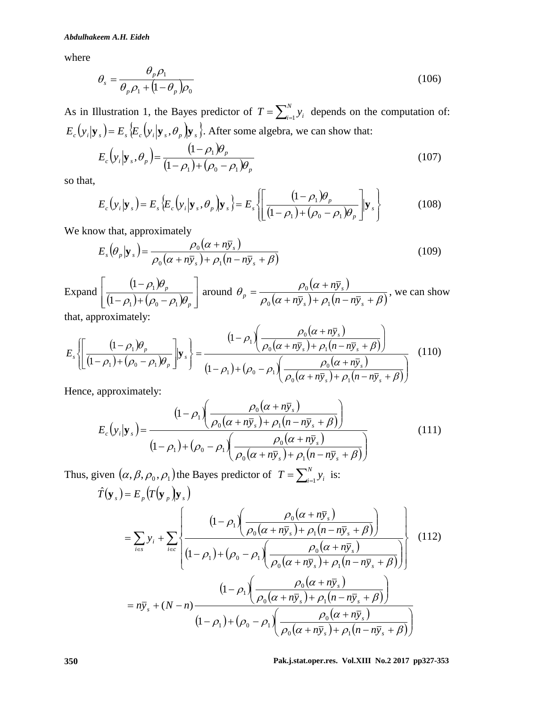where

$$
\theta_s = \frac{\theta_p \rho_1}{\theta_p \rho_1 + (1 - \theta_p)\rho_0} \tag{106}
$$

As in Illustration 1, the Bayes predictor of  $T = \sum_{i=1}^{N}$  $T = \sum_{i=1}^{N} y_i$  depends on the computation of:  $E_c(y_i|\mathbf{y}_s) = E_s \{E_c(y_i|\mathbf{y}_s, \theta_p) | \mathbf{y}_s\}$ . After some algebra, we can show that:

$$
E_c(y_i|\mathbf{y}_s, \theta_p) = \frac{(1-\rho_1)\theta_p}{(1-\rho_1) + (\rho_0-\rho_1)\theta_p}
$$
(107)

so that,

$$
E_c(y_i|\mathbf{y}_s) = E_s\{E_c(y_i|\mathbf{y}_s,\theta_p)|\mathbf{y}_s\} = E_s\left\{ \left[ \frac{(1-\rho_1)\theta_p}{(1-\rho_1) + (\rho_0-\rho_1)\theta_p} \right] \mathbf{y}_s \right\}
$$
(108)

We know that, approximately

$$
E_s(\theta_p|\mathbf{y}_s) = \frac{\rho_0(\alpha + n\bar{y}_s)}{\rho_0(\alpha + n\bar{y}_s) + \rho_1(n - n\bar{y}_s + \beta)}
$$
(109)

Expand  $(1-\rho_1)$  $\frac{(1-\rho_1)+(\rho_0-\rho_1)\theta_p}{(1-\rho_1)+(\rho_0-\rho_1)\theta_p}$  $\perp$  $\overline{\phantom{a}}$  $\mathsf{L}$  $\mathbf{r}$ L  $\overline{a}$  $-\rho_{1}$ )+( $\rho_{0}$  –  $\overline{a}$ *p p*  $\rho_1$ )+( $\rho_0$  –  $\rho_1$ ) $\theta_1$  $\rho_{\text{\tiny{l}}}$ ) $\theta$  $1 + V_0$   $P_1$ 1 1 1 around  $(\alpha + n\overline{y})$  $\rho_0(\alpha + n\bar{y}_s) + \rho_1(n - n\bar{y}_s + \beta)$  $\theta_p = \frac{\rho_0 (\alpha + n y_s)}{\rho_0 (\alpha + n \bar{y}_s) + \rho_1 (n - n \bar{y}_s + n \bar{y}_s)}$  $=\frac{\rho_0(\alpha+1)}{2\alpha}$  $s$  *f*  $\tau$  *f*  $\mu$ <sup>*n*</sup> *i m f s*  $p = \frac{P_0(\alpha + hy_s)}{\rho_0(\alpha + n\overline{y}_s) + \rho_1(n - n\overline{y}_s)}$ *ny*  $0^{(u + hy_s)}$  +  $\mu_1$  $\frac{0}{0}$   $\frac{(u + hy_s)}{(u - g_s)}$ , we can show

that, approximately:

$$
E_s\left\{\left[\frac{(1-\rho_1)\theta_p}{(1-\rho_1)+(\rho_0-\rho_1)\theta_p}\right]\mathbf{y}_s\right\} = \frac{(1-\rho_1)\left(\frac{\rho_0(\alpha+n\bar{y}_s)}{\rho_0(\alpha+n\bar{y}_s)+\rho_1(n-n\bar{y}_s+\beta)}\right)}{(1-\rho_1)+(\rho_0-\rho_1)\left(\frac{\rho_0(\alpha+n\bar{y}_s)}{\rho_0(\alpha+n\bar{y}_s)+\rho_1(n-n\bar{y}_s+\beta)}\right)}\tag{110}
$$

Hence, approximately:

$$
E_c(y_i|\mathbf{y}_s) = \frac{\left(1-\rho_1\left(\frac{\rho_0(\alpha+n\bar{y}_s)}{\rho_0(\alpha+n\bar{y}_s)+\rho_1(n-n\bar{y}_s+\beta)}\right)\right)}{\left(1-\rho_1\right)+\left(\rho_0-\rho_1\right)\left(\frac{\rho_0(\alpha+n\bar{y}_s)}{\rho_0(\alpha+n\bar{y}_s)+\rho_1(n-n\bar{y}_s+\beta)}\right)}
$$
(111)

Thus, given  $(\alpha, \beta, \rho_0, \rho_1)$  the Bayes predictor of  $T = \sum_{i=1}^{N}$  $T = \sum_{i=1}^{N} y_i$  is:

$$
\hat{T}(\mathbf{y}_s) = E_p(T(\mathbf{y}_p)|\mathbf{y}_s)
$$
\n
$$
= \sum_{i \in S} y_i + \sum_{i \in C} \left\{ \frac{(1 - \rho_1) \left( \frac{\rho_0(\alpha + n\overline{y}_s)}{\rho_0(\alpha + n\overline{y}_s) + \rho_1(n - n\overline{y}_s + \beta)} \right)}{(1 - \rho_1) + (\rho_0 - \rho_1) \left( \frac{\rho_0(\alpha + n\overline{y}_s)}{\rho_0(\alpha + n\overline{y}_s) + \rho_1(n - n\overline{y}_s + \beta)} \right)} \right\}
$$
\n
$$
= n\overline{y}_s + (N - n) \frac{(1 - \rho_1) \left( \frac{\rho_0(\alpha + n\overline{y}_s)}{\rho_0(\alpha + n\overline{y}_s) + \rho_1(n - n\overline{y}_s + \beta)} \right)}{(1 - \rho_1) + (\rho_0 - \rho_1) \left( \frac{\rho_0(\alpha + n\overline{y}_s)}{\rho_0(\alpha + n\overline{y}_s) + \rho_1(n - n\overline{y}_s + \beta)} \right)}
$$
\n(1 - \rho\_1)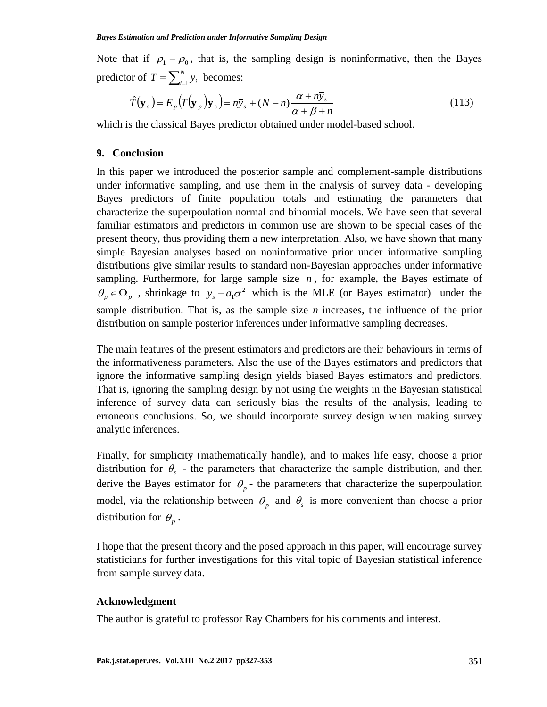Note that if  $\rho_1 = \rho_0$ , that is, the sampling design is noninformative, then the Bayes predictor of  $T = \sum_{i=1}^{N}$  $T = \sum_{i=1}^{N} y_i$  becomes:

$$
\hat{T}(\mathbf{y}_s) = E_p(T(\mathbf{y}_p)|\mathbf{y}_s) = n\bar{y}_s + (N-n)\frac{\alpha + n\bar{y}_s}{\alpha + \beta + n}
$$
\n(113)

which is the classical Bayes predictor obtained under model-based school.

#### **9. Conclusion**

In this paper we introduced the posterior sample and complement-sample distributions under informative sampling, and use them in the analysis of survey data - developing Bayes predictors of finite population totals and estimating the parameters that characterize the superpoulation normal and binomial models. We have seen that several familiar estimators and predictors in common use are shown to be special cases of the present theory, thus providing them a new interpretation. Also, we have shown that many simple Bayesian analyses based on noninformative prior under informative sampling distributions give similar results to standard non-Bayesian approaches under informative sampling. Furthermore, for large sample size  $n$ , for example, the Bayes estimate of  $\theta_p \in \Omega_p$ , shrinkage to  $\bar{y}_s - a_1 \sigma^2$  which is the MLE (or Bayes estimator) under the sample distribution. That is, as the sample size *n* increases, the influence of the prior distribution on sample posterior inferences under informative sampling decreases.

The main features of the present estimators and predictors are their behaviours in terms of the informativeness parameters. Also the use of the Bayes estimators and predictors that ignore the informative sampling design yields biased Bayes estimators and predictors. That is, ignoring the sampling design by not using the weights in the Bayesian statistical inference of survey data can seriously bias the results of the analysis, leading to erroneous conclusions. So, we should incorporate survey design when making survey analytic inferences.

Finally, for simplicity (mathematically handle), and to makes life easy, choose a prior distribution for  $\theta_s$  - the parameters that characterize the sample distribution, and then derive the Bayes estimator for  $\theta_p$  - the parameters that characterize the superpoulation model, via the relationship between  $\theta_p$  and  $\theta_s$  is more convenient than choose a prior distribution for  $\theta_p$ .

I hope that the present theory and the posed approach in this paper, will encourage survey statisticians for further investigations for this vital topic of Bayesian statistical inference from sample survey data.

#### **Acknowledgment**

The author is grateful to professor Ray Chambers for his comments and interest.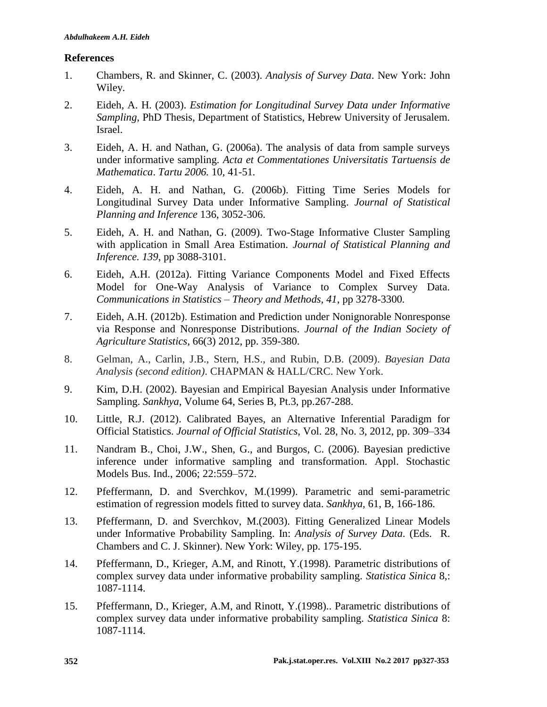# **References**

- 1. Chambers, R. and Skinner, C. (2003). *Analysis of Survey Data*. New York: John Wiley.
- 2. Eideh, A. H. (2003). *Estimation for Longitudinal Survey Data under Informative Sampling*, PhD Thesis, Department of Statistics, Hebrew University of Jerusalem. Israel.
- 3. Eideh, A. H. and Nathan, G. (2006a). The analysis of data from sample surveys under informative sampling. *Acta et Commentationes Universitatis Tartuensis de Mathematica*. *Tartu 2006.* 10*,* 41-51*.*
- 4. Eideh, A. H. and Nathan, G. (2006b). [Fitting Time Series Models for](http://pluto.mscc.huji.ac.il/~gad/papers/Eideh%20Nathan%20Jspi.pdf)  [Longitudinal Survey Data under Informative Sampling.](http://pluto.mscc.huji.ac.il/~gad/papers/Eideh%20Nathan%20Jspi.pdf) *Journal of Statistical Planning and Inference* 136, 3052-306.
- 5. Eideh, A. H. and Nathan, G. (2009). Two-Stage Informative Cluster Sampling with application in Small Area Estimation. *Journal of Statistical Planning and Inference. 139*, pp 3088-3101.
- 6. Eideh, A.H. (2012a). Fitting Variance Components Model and Fixed Effects Model for One-Way Analysis of Variance to Complex Survey Data. *Communications in Statistics – Theory and Methods, 41*, pp 3278-3300*.*
- 7. Eideh, A.H. (2012b). Estimation and Prediction under Nonignorable Nonresponse via Response and Nonresponse Distributions. *Journal of the Indian Society of Agriculture Statistics*, 66(3) 2012, pp. 359-380.
- 8. Gelman, A., Carlin, J.B., Stern, H.S., and Rubin, D.B. (2009). *Bayesian Data Analysis (second edition)*. CHAPMAN & HALL/CRC. New York.
- 9. Kim, D.H. (2002). Bayesian and Empirical Bayesian Analysis under Informative Sampling. *Sankhya*, Volume 64, Series B, Pt.3, pp.267-288.
- 10. Little, R.J. (2012). Calibrated Bayes, an Alternative Inferential Paradigm for Official Statistics. *Journal of Official Statistics*, Vol. 28, No. 3, 2012, pp. 309–334
- 11. Nandram B., Choi, J.W., Shen, G., and Burgos, C. (2006). Bayesian predictive inference under informative sampling and transformation. Appl. Stochastic Models Bus. Ind., 2006; 22:559–572.
- 12. Pfeffermann, D. and Sverchkov, M.(1999). Parametric and semi-parametric estimation of regression models fitted to survey data. *Sankhya*, 61, B, 166-186.
- 13. Pfeffermann, D. and Sverchkov, M.(2003). Fitting Generalized Linear Models under Informative Probability Sampling. In: *Analysis of Survey Data*. (Eds. R. Chambers and C. J. Skinner). New York: Wiley, pp. 175-195.
- 14. Pfeffermann, D., Krieger, A.M, and Rinott, Y.(1998). Parametric distributions of complex survey data under informative probability sampling. *Statistica Sinica* 8,: 1087-1114.
- 15. Pfeffermann, D., Krieger, A.M, and Rinott, Y.(1998).. Parametric distributions of complex survey data under informative probability sampling. *Statistica Sinica* 8: 1087-1114.